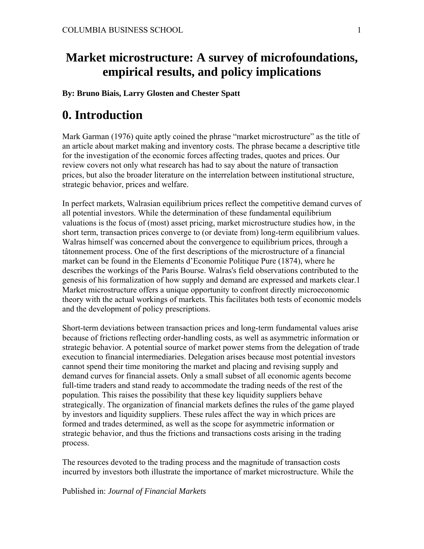# **Market microstructure: A survey of microfoundations, empirical results, and policy implications**

## **By: Bruno Biais, Larry Glosten and Chester Spatt**

# **0. Introduction**

Mark Garman (1976) quite aptly coined the phrase "market microstructure" as the title of an article about market making and inventory costs. The phrase became a descriptive title for the investigation of the economic forces affecting trades, quotes and prices. Our review covers not only what research has had to say about the nature of transaction prices, but also the broader literature on the interrelation between institutional structure, strategic behavior, prices and welfare.

In perfect markets, Walrasian equilibrium prices reflect the competitive demand curves of all potential investors. While the determination of these fundamental equilibrium valuations is the focus of (most) asset pricing, market microstructure studies how, in the short term, transaction prices converge to (or deviate from) long-term equilibrium values. Walras himself was concerned about the convergence to equilibrium prices, through a tâtonnement process. One of the first descriptions of the microstructure of a financial market can be found in the Elements d'Economie Politique Pure (1874), where he describes the workings of the Paris Bourse. Walras's field observations contributed to the genesis of his formalization of how supply and demand are expressed and markets clear.1 Market microstructure offers a unique opportunity to confront directly microeconomic theory with the actual workings of markets. This facilitates both tests of economic models and the development of policy prescriptions.

Short-term deviations between transaction prices and long-term fundamental values arise because of frictions reflecting order-handling costs, as well as asymmetric information or strategic behavior. A potential source of market power stems from the delegation of trade execution to financial intermediaries. Delegation arises because most potential investors cannot spend their time monitoring the market and placing and revising supply and demand curves for financial assets. Only a small subset of all economic agents become full-time traders and stand ready to accommodate the trading needs of the rest of the population. This raises the possibility that these key liquidity suppliers behave strategically. The organization of financial markets defines the rules of the game played by investors and liquidity suppliers. These rules affect the way in which prices are formed and trades determined, as well as the scope for asymmetric information or strategic behavior, and thus the frictions and transactions costs arising in the trading process.

The resources devoted to the trading process and the magnitude of transaction costs incurred by investors both illustrate the importance of market microstructure. While the

#### Published in: *Journal of Financial Markets*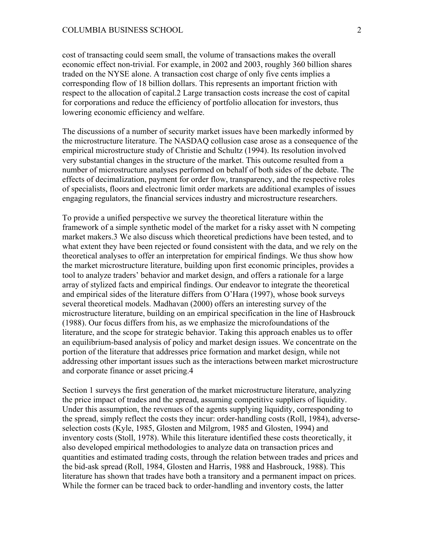cost of transacting could seem small, the volume of transactions makes the overall economic effect non-trivial. For example, in 2002 and 2003, roughly 360 billion shares traded on the NYSE alone. A transaction cost charge of only five cents implies a corresponding flow of 18 billion dollars. This represents an important friction with respect to the allocation of capital.2 Large transaction costs increase the cost of capital for corporations and reduce the efficiency of portfolio allocation for investors, thus lowering economic efficiency and welfare.

The discussions of a number of security market issues have been markedly informed by the microstructure literature. The NASDAQ collusion case arose as a consequence of the empirical microstructure study of Christie and Schultz (1994). Its resolution involved very substantial changes in the structure of the market. This outcome resulted from a number of microstructure analyses performed on behalf of both sides of the debate. The effects of decimalization, payment for order flow, transparency, and the respective roles of specialists, floors and electronic limit order markets are additional examples of issues engaging regulators, the financial services industry and microstructure researchers.

To provide a unified perspective we survey the theoretical literature within the framework of a simple synthetic model of the market for a risky asset with N competing market makers.3 We also discuss which theoretical predictions have been tested, and to what extent they have been rejected or found consistent with the data, and we rely on the theoretical analyses to offer an interpretation for empirical findings. We thus show how the market microstructure literature, building upon first economic principles, provides a tool to analyze traders' behavior and market design, and offers a rationale for a large array of stylized facts and empirical findings. Our endeavor to integrate the theoretical and empirical sides of the literature differs from O'Hara (1997), whose book surveys several theoretical models. Madhavan (2000) offers an interesting survey of the microstructure literature, building on an empirical specification in the line of Hasbrouck (1988). Our focus differs from his, as we emphasize the microfoundations of the literature, and the scope for strategic behavior. Taking this approach enables us to offer an equilibrium-based analysis of policy and market design issues. We concentrate on the portion of the literature that addresses price formation and market design, while not addressing other important issues such as the interactions between market microstructure and corporate finance or asset pricing.4

Section 1 surveys the first generation of the market microstructure literature, analyzing the price impact of trades and the spread, assuming competitive suppliers of liquidity. Under this assumption, the revenues of the agents supplying liquidity, corresponding to the spread, simply reflect the costs they incur: order-handling costs (Roll, 1984), adverseselection costs (Kyle, 1985, Glosten and Milgrom, 1985 and Glosten, 1994) and inventory costs (Stoll, 1978). While this literature identified these costs theoretically, it also developed empirical methodologies to analyze data on transaction prices and quantities and estimated trading costs, through the relation between trades and prices and the bid-ask spread (Roll, 1984, Glosten and Harris, 1988 and Hasbrouck, 1988). This literature has shown that trades have both a transitory and a permanent impact on prices. While the former can be traced back to order-handling and inventory costs, the latter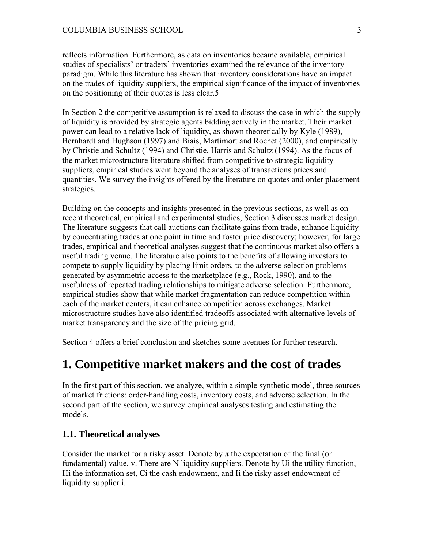reflects information. Furthermore, as data on inventories became available, empirical studies of specialists' or traders' inventories examined the relevance of the inventory paradigm. While this literature has shown that inventory considerations have an impact on the trades of liquidity suppliers, the empirical significance of the impact of inventories on the positioning of their quotes is less clear.5

In Section 2 the competitive assumption is relaxed to discuss the case in which the supply of liquidity is provided by strategic agents bidding actively in the market. Their market power can lead to a relative lack of liquidity, as shown theoretically by Kyle (1989), Bernhardt and Hughson (1997) and Biais, Martimort and Rochet (2000), and empirically by Christie and Schultz (1994) and Christie, Harris and Schultz (1994). As the focus of the market microstructure literature shifted from competitive to strategic liquidity suppliers, empirical studies went beyond the analyses of transactions prices and quantities. We survey the insights offered by the literature on quotes and order placement strategies.

Building on the concepts and insights presented in the previous sections, as well as on recent theoretical, empirical and experimental studies, Section 3 discusses market design. The literature suggests that call auctions can facilitate gains from trade, enhance liquidity by concentrating trades at one point in time and foster price discovery; however, for large trades, empirical and theoretical analyses suggest that the continuous market also offers a useful trading venue. The literature also points to the benefits of allowing investors to compete to supply liquidity by placing limit orders, to the adverse-selection problems generated by asymmetric access to the marketplace (e.g., Rock, 1990), and to the usefulness of repeated trading relationships to mitigate adverse selection. Furthermore, empirical studies show that while market fragmentation can reduce competition within each of the market centers, it can enhance competition across exchanges. Market microstructure studies have also identified tradeoffs associated with alternative levels of market transparency and the size of the pricing grid.

Section 4 offers a brief conclusion and sketches some avenues for further research.

# **1. Competitive market makers and the cost of trades**

In the first part of this section, we analyze, within a simple synthetic model, three sources of market frictions: order-handling costs, inventory costs, and adverse selection. In the second part of the section, we survey empirical analyses testing and estimating the models.

## **1.1. Theoretical analyses**

Consider the market for a risky asset. Denote by  $\pi$  the expectation of the final (or fundamental) value, v. There are N liquidity suppliers. Denote by Ui the utility function, Hi the information set, Ci the cash endowment, and Ii the risky asset endowment of liquidity supplier i.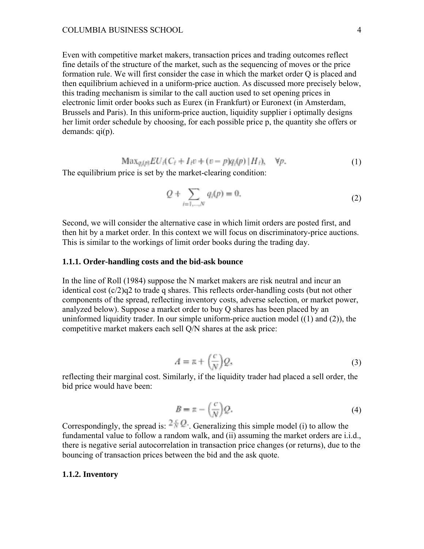Even with competitive market makers, transaction prices and trading outcomes reflect fine details of the structure of the market, such as the sequencing of moves or the price formation rule. We will first consider the case in which the market order Q is placed and then equilibrium achieved in a uniform-price auction. As discussed more precisely below, this trading mechanism is similar to the call auction used to set opening prices in electronic limit order books such as Eurex (in Frankfurt) or Euronext (in Amsterdam, Brussels and Paris). In this uniform-price auction, liquidity supplier i optimally designs her limit order schedule by choosing, for each possible price p, the quantity she offers or demands: qi(p).

$$
Max_{q_i(p)} EU_i(C_i + I_i v + (v - p)q_i(p) | H_i), \quad \forall p. \tag{1}
$$

**THE EVALUATE FOR THE EXAMPLE FOR A THE EQUILIBRIUM** The equilibrium price is set by the market-clearing condition:

$$
Q + \sum_{i=1,...,N} q_i(p) = 0.
$$
 (2)

Second, we will consider the alternative case in which limit orders are posted first, and then hit by a market order. In this context we will focus on discriminatory-price auctions. This is similar to the workings of limit order books during the trading day.

#### **1.1.1. Order-handling costs and the bid-ask bounce**

In the line of Roll (1984) suppose the N market makers are risk neutral and incur an identical cost  $(c/2)q2$  to trade q shares. This reflects order-handling costs (but not other components of the spread, reflecting inventory costs, adverse selection, or market power, analyzed below). Suppose a market order to buy Q shares has been placed by an uninformed liquidity trader. In our simple uniform-price auction model  $((1)$  and  $(2))$ , the competitive market makers each sell Q/N shares at the ask price:

$$
A = \pi + \left(\frac{c}{N}\right)Q,\tag{3}
$$

reflecting their marginal cost. Similarly, if the liquidity trader had placed a sell order, the bid price would have been:

$$
B = \pi - \left(\frac{c}{N}\right)Q.\tag{4}
$$

Correspondingly, the spread is:  $2\pi Q$ . Generalizing this simple model (i) to allow the fundamental value to follow a random walk, and (ii) assuming the market orders are i.i.d., there is negative serial autocorrelation in transaction price changes (or returns), due to the bouncing of transaction prices between the bid and the ask quote.

#### **1.1.2. Inventory**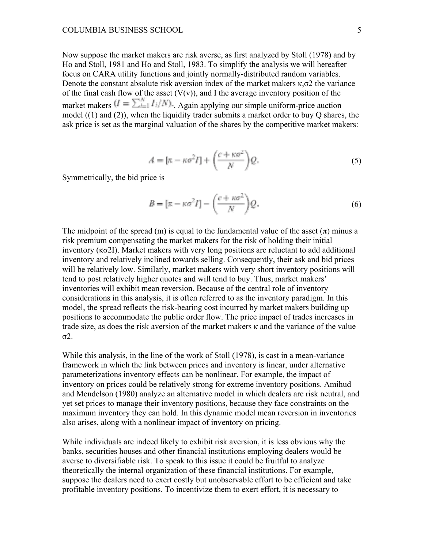Now suppose the market makers are risk averse, as first analyzed by Stoll (1978) and by Ho and Stoll, 1981 and Ho and Stoll, 1983. To simplify the analysis we will hereafter focus on CARA utility functions and jointly normally-distributed random variables. Denote the constant absolute risk aversion index of the market makers  $\kappa$ ,  $\sigma$ 2 the variance of the final cash flow of the asset  $(V(v))$ , and I the average inventory position of the market makers  $(I = \sum_{i=1}^{N} I_i/N)$ . Again applying our simple uniform-price auction model ((1) and (2)), when the liquidity trader submits a market order to buy Q shares, the ask price is set as the marginal valuation of the shares by the competitive market makers:

$$
A = \left[\pi - \kappa \sigma^2 I\right] + \left(\frac{c + \kappa \sigma^2}{N}\right) Q. \tag{5}
$$

Symmetrically, the bid price is

$$
B = \left[\pi - \kappa \sigma^2 I\right] - \left(\frac{c + \kappa \sigma^2}{N}\right) Q. \tag{6}
$$

The midpoint of the spread (m) is equal to the fundamental value of the asset  $(\pi)$  minus a risk premium compensating the market makers for the risk of holding their initial inventory (κσ2I). Market makers with very long positions are reluctant to add additional inventory and relatively inclined towards selling. Consequently, their ask and bid prices will be relatively low. Similarly, market makers with very short inventory positions will tend to post relatively higher quotes and will tend to buy. Thus, market makers' inventories will exhibit mean reversion. Because of the central role of inventory considerations in this analysis, it is often referred to as the inventory paradigm. In this model, the spread reflects the risk-bearing cost incurred by market makers building up positions to accommodate the public order flow. The price impact of trades increases in trade size, as does the risk aversion of the market makers κ and the variance of the value σ2.

While this analysis, in the line of the work of Stoll (1978), is cast in a mean-variance framework in which the link between prices and inventory is linear, under alternative parameterizations inventory effects can be nonlinear. For example, the impact of inventory on prices could be relatively strong for extreme inventory positions. Amihud and Mendelson (1980) analyze an alternative model in which dealers are risk neutral, and yet set prices to manage their inventory positions, because they face constraints on the maximum inventory they can hold. In this dynamic model mean reversion in inventories also arises, along with a nonlinear impact of inventory on pricing.

While individuals are indeed likely to exhibit risk aversion, it is less obvious why the banks, securities houses and other financial institutions employing dealers would be averse to diversifiable risk. To speak to this issue it could be fruitful to analyze theoretically the internal organization of these financial institutions. For example, suppose the dealers need to exert costly but unobservable effort to be efficient and take profitable inventory positions. To incentivize them to exert effort, it is necessary to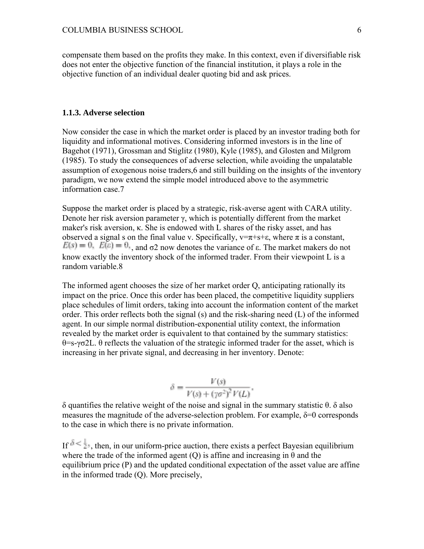compensate them based on the profits they make. In this context, even if diversifiable risk does not enter the objective function of the financial institution, it plays a role in the objective function of an individual dealer quoting bid and ask prices.

#### **1.1.3. Adverse selection**

Now consider the case in which the market order is placed by an investor trading both for liquidity and informational motives. Considering informed investors is in the line of Bagehot (1971), Grossman and Stiglitz (1980), Kyle (1985), and Glosten and Milgrom (1985). To study the consequences of adverse selection, while avoiding the unpalatable assumption of exogenous noise traders,6 and still building on the insights of the inventory paradigm, we now extend the simple model introduced above to the asymmetric information case.7

Suppose the market order is placed by a strategic, risk-averse agent with CARA utility. Denote her risk aversion parameter  $\gamma$ , which is potentially different from the market maker's risk aversion, κ. She is endowed with L shares of the risky asset, and has observed a signal s on the final value v. Specifically,  $v=\pi+s+\varepsilon$ , where  $\pi$  is a constant,  $E(s) = 0$ ,  $E(\varepsilon) = 0$ , and  $\sigma^2$  now denotes the variance of  $\varepsilon$ . The market makers do not know exactly the inventory shock of the informed trader. From their viewpoint L is a random variable.8

The informed agent chooses the size of her market order Q, anticipating rationally its impact on the price. Once this order has been placed, the competitive liquidity suppliers place schedules of limit orders, taking into account the information content of the market order. This order reflects both the signal (s) and the risk-sharing need (L) of the informed agent. In our simple normal distribution-exponential utility context, the information revealed by the market order is equivalent to that contained by the summary statistics: θ=s-γσ2L. θ reflects the valuation of the strategic informed trader for the asset, which is increasing in her private signal, and decreasing in her inventory. Denote:

$$
\delta = \frac{V(s)}{V(s) + (\gamma \sigma^2)^2 V(L)}
$$

δ quantifies the relative weight of the noise and signal in the summary statistic θ. δ also measures the magnitude of the adverse-selection problem. For example,  $\delta = 0$  corresponds to the case in which there is no private information.

If  $\delta < \frac{1}{2}$ , then, in our uniform-price auction, there exists a perfect Bayesian equilibrium where the trade of the informed agent (Q) is affine and increasing in  $\theta$  and the equilibrium price (P) and the updated conditional expectation of the asset value are affine in the informed trade (Q). More precisely,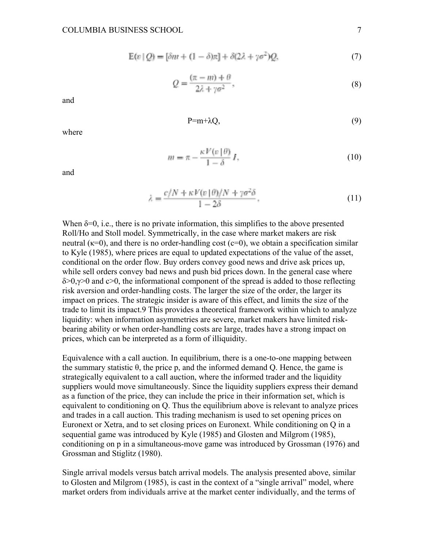$$
E(v \mid Q) = [\delta m + (1 - \delta)\pi] + \delta (2\lambda + \gamma \sigma^2) Q,\tag{7}
$$

$$
Q = \frac{(\pi - m) + \theta}{2\lambda + \gamma \sigma^2},\tag{8}
$$

and

$$
P=m+\lambda Q,\tag{9}
$$

where

$$
m = \pi - \frac{\kappa V(v \mid \theta)}{1 - \delta} I,\tag{10}
$$

and

$$
\lambda = \frac{c/N + \kappa V(v|\theta)/N + \gamma \sigma^2 \delta}{1 - 2\delta}.
$$
\n(11)

When  $\delta = 0$ , i.e., there is no private information, this simplifies to the above presented Roll/Ho and Stoll model. Symmetrically, in the case where market makers are risk neutral ( $\kappa=0$ ), and there is no order-handling cost ( $c=0$ ), we obtain a specification similar to Kyle (1985), where prices are equal to updated expectations of the value of the asset, conditional on the order flow. Buy orders convey good news and drive ask prices up, while sell orders convey bad news and push bid prices down. In the general case where  $\delta$ >0, $\gamma$ >0 and c>0, the informational component of the spread is added to those reflecting risk aversion and order-handling costs. The larger the size of the order, the larger its impact on prices. The strategic insider is aware of this effect, and limits the size of the trade to limit its impact.9 This provides a theoretical framework within which to analyze liquidity: when information asymmetries are severe, market makers have limited riskbearing ability or when order-handling costs are large, trades have a strong impact on prices, which can be interpreted as a form of illiquidity.

Equivalence with a call auction. In equilibrium, there is a one-to-one mapping between the summary statistic  $\theta$ , the price p, and the informed demand Q. Hence, the game is strategically equivalent to a call auction, where the informed trader and the liquidity suppliers would move simultaneously. Since the liquidity suppliers express their demand as a function of the price, they can include the price in their information set, which is equivalent to conditioning on Q. Thus the equilibrium above is relevant to analyze prices and trades in a call auction. This trading mechanism is used to set opening prices on Euronext or Xetra, and to set closing prices on Euronext. While conditioning on Q in a sequential game was introduced by Kyle (1985) and Glosten and Milgrom (1985), conditioning on p in a simultaneous-move game was introduced by Grossman (1976) and Grossman and Stiglitz (1980).

Single arrival models versus batch arrival models. The analysis presented above, similar to Glosten and Milgrom (1985), is cast in the context of a "single arrival" model, where market orders from individuals arrive at the market center individually, and the terms of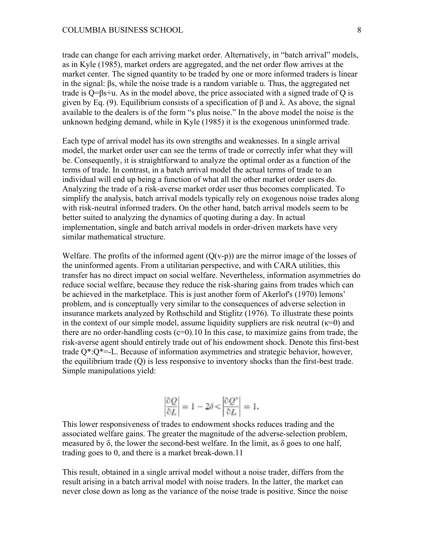trade can change for each arriving market order. Alternatively, in "batch arrival" models, as in Kyle (1985), market orders are aggregated, and the net order flow arrives at the market center. The signed quantity to be traded by one or more informed traders is linear in the signal: βs, while the noise trade is a random variable u. Thus, the aggregated net trade is Q=βs+u. As in the model above, the price associated with a signed trade of Q is given by Eq. (9). Equilibrium consists of a specification of β and  $\lambda$ . As above, the signal available to the dealers is of the form "s plus noise." In the above model the noise is the unknown hedging demand, while in Kyle (1985) it is the exogenous uninformed trade.

Each type of arrival model has its own strengths and weaknesses. In a single arrival model, the market order user can see the terms of trade or correctly infer what they will be. Consequently, it is straightforward to analyze the optimal order as a function of the terms of trade. In contrast, in a batch arrival model the actual terms of trade to an individual will end up being a function of what all the other market order users do. Analyzing the trade of a risk-averse market order user thus becomes complicated. To simplify the analysis, batch arrival models typically rely on exogenous noise trades along with risk-neutral informed traders. On the other hand, batch arrival models seem to be better suited to analyzing the dynamics of quoting during a day. In actual implementation, single and batch arrival models in order-driven markets have very similar mathematical structure.

Welfare. The profits of the informed agent  $(O(v-p))$  are the mirror image of the losses of the uninformed agents. From a utilitarian perspective, and with CARA utilities, this transfer has no direct impact on social welfare. Nevertheless, information asymmetries do reduce social welfare, because they reduce the risk-sharing gains from trades which can be achieved in the marketplace. This is just another form of Akerlof's (1970) lemons' problem, and is conceptually very similar to the consequences of adverse selection in insurance markets analyzed by Rothschild and Stiglitz (1976). To illustrate these points in the context of our simple model, assume liquidity suppliers are risk neutral  $(\kappa=0)$  and there are no order-handling costs  $(c=0)$ .10 In this case, to maximize gains from trade, the risk-averse agent should entirely trade out of his endowment shock. Denote this first-best trade Q\*:Q\*=-L. Because of information asymmetries and strategic behavior, however, the equilibrium trade (Q) is less responsive to inventory shocks than the first-best trade. Simple manipulations yield:

$$
\left|\frac{\partial Q}{\partial L}\right| = 1 - 2\delta < \left|\frac{\partial Q^*}{\partial L}\right| = 1.
$$

This lower responsiveness of trades to endowment shocks reduces trading and the associated welfare gains. The greater the magnitude of the adverse-selection problem, measured by  $\delta$ , the lower the second-best welfare. In the limit, as  $\delta$  goes to one half, trading goes to 0, and there is a market break-down.11

This result, obtained in a single arrival model without a noise trader, differs from the result arising in a batch arrival model with noise traders. In the latter, the market can never close down as long as the variance of the noise trade is positive. Since the noise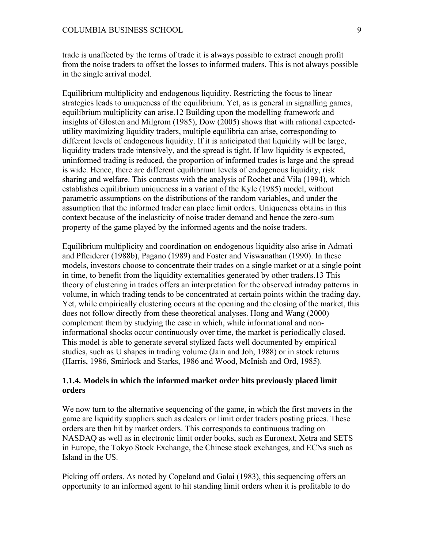trade is unaffected by the terms of trade it is always possible to extract enough profit from the noise traders to offset the losses to informed traders. This is not always possible in the single arrival model.

Equilibrium multiplicity and endogenous liquidity. Restricting the focus to linear strategies leads to uniqueness of the equilibrium. Yet, as is general in signalling games, equilibrium multiplicity can arise.12 Building upon the modelling framework and insights of Glosten and Milgrom (1985), Dow (2005) shows that with rational expectedutility maximizing liquidity traders, multiple equilibria can arise, corresponding to different levels of endogenous liquidity. If it is anticipated that liquidity will be large, liquidity traders trade intensively, and the spread is tight. If low liquidity is expected, uninformed trading is reduced, the proportion of informed trades is large and the spread is wide. Hence, there are different equilibrium levels of endogenous liquidity, risk sharing and welfare. This contrasts with the analysis of Rochet and Vila (1994), which establishes equilibrium uniqueness in a variant of the Kyle (1985) model, without parametric assumptions on the distributions of the random variables, and under the assumption that the informed trader can place limit orders. Uniqueness obtains in this context because of the inelasticity of noise trader demand and hence the zero-sum property of the game played by the informed agents and the noise traders.

Equilibrium multiplicity and coordination on endogenous liquidity also arise in Admati and Pfleiderer (1988b), Pagano (1989) and Foster and Viswanathan (1990). In these models, investors choose to concentrate their trades on a single market or at a single point in time, to benefit from the liquidity externalities generated by other traders.13 This theory of clustering in trades offers an interpretation for the observed intraday patterns in volume, in which trading tends to be concentrated at certain points within the trading day. Yet, while empirically clustering occurs at the opening and the closing of the market, this does not follow directly from these theoretical analyses. Hong and Wang (2000) complement them by studying the case in which, while informational and noninformational shocks occur continuously over time, the market is periodically closed. This model is able to generate several stylized facts well documented by empirical studies, such as U shapes in trading volume (Jain and Joh, 1988) or in stock returns (Harris, 1986, Smirlock and Starks, 1986 and Wood, McInish and Ord, 1985).

#### **1.1.4. Models in which the informed market order hits previously placed limit orders**

We now turn to the alternative sequencing of the game, in which the first movers in the game are liquidity suppliers such as dealers or limit order traders posting prices. These orders are then hit by market orders. This corresponds to continuous trading on NASDAQ as well as in electronic limit order books, such as Euronext, Xetra and SETS in Europe, the Tokyo Stock Exchange, the Chinese stock exchanges, and ECNs such as Island in the US.

Picking off orders. As noted by Copeland and Galai (1983), this sequencing offers an opportunity to an informed agent to hit standing limit orders when it is profitable to do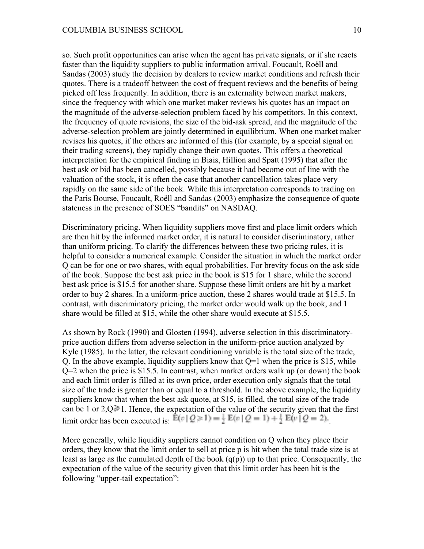so. Such profit opportunities can arise when the agent has private signals, or if she reacts faster than the liquidity suppliers to public information arrival. Foucault, Roëll and Sandas (2003) study the decision by dealers to review market conditions and refresh their quotes. There is a tradeoff between the cost of frequent reviews and the benefits of being picked off less frequently. In addition, there is an externality between market makers, since the frequency with which one market maker reviews his quotes has an impact on the magnitude of the adverse-selection problem faced by his competitors. In this context, the frequency of quote revisions, the size of the bid-ask spread, and the magnitude of the adverse-selection problem are jointly determined in equilibrium. When one market maker revises his quotes, if the others are informed of this (for example, by a special signal on their trading screens), they rapidly change their own quotes. This offers a theoretical interpretation for the empirical finding in Biais, Hillion and Spatt (1995) that after the best ask or bid has been cancelled, possibly because it had become out of line with the valuation of the stock, it is often the case that another cancellation takes place very rapidly on the same side of the book. While this interpretation corresponds to trading on the Paris Bourse, Foucault, Roëll and Sandas (2003) emphasize the consequence of quote stateness in the presence of SOES "bandits" on NASDAQ.

Discriminatory pricing. When liquidity suppliers move first and place limit orders which are then hit by the informed market order, it is natural to consider discriminatory, rather than uniform pricing. To clarify the differences between these two pricing rules, it is helpful to consider a numerical example. Consider the situation in which the market order Q can be for one or two shares, with equal probabilities. For brevity focus on the ask side of the book. Suppose the best ask price in the book is \$15 for 1 share, while the second best ask price is \$15.5 for another share. Suppose these limit orders are hit by a market order to buy 2 shares. In a uniform-price auction, these 2 shares would trade at \$15.5. In contrast, with discriminatory pricing, the market order would walk up the book, and 1 share would be filled at \$15, while the other share would execute at \$15.5.

As shown by Rock (1990) and Glosten (1994), adverse selection in this discriminatoryprice auction differs from adverse selection in the uniform-price auction analyzed by Kyle (1985). In the latter, the relevant conditioning variable is the total size of the trade, Q. In the above example, liquidity suppliers know that  $Q=1$  when the price is \$15, while  $Q=2$  when the price is \$15.5. In contrast, when market orders walk up (or down) the book and each limit order is filled at its own price, order execution only signals that the total size of the trade is greater than or equal to a threshold. In the above example, the liquidity suppliers know that when the best ask quote, at \$15, is filled, the total size of the trade can be 1 or  $2,Q \ge 1$ . Hence, the expectation of the value of the security given that the first limit order has been executed is:  $\mathbf{E}(v | Q \ge 1) = \frac{1}{2} \mathbf{E}(v | Q = 1) + \frac{1}{2} \mathbf{E}(v | Q = 2)$ .

More generally, while liquidity suppliers cannot condition on Q when they place their orders, they know that the limit order to sell at price p is hit when the total trade size is at least as large as the cumulated depth of the book  $(q(p))$  up to that price. Consequently, the expectation of the value of the security given that this limit order has been hit is the following "upper-tail expectation":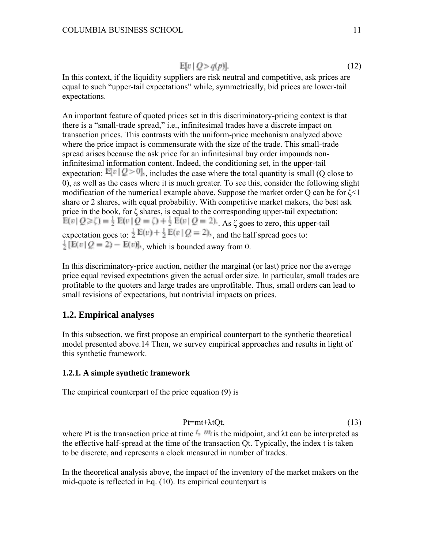$$
E[v \mid Q > q(p)].\tag{12}
$$

In this context, if the liquidity suppliers are risk neutral and competitive, ask prices are equal to such "upper-tail expectations" while, symmetrically, bid prices are lower-tail expectations.

An important feature of quoted prices set in this discriminatory-pricing context is that there is a "small-trade spread," i.e., infinitesimal trades have a discrete impact on transaction prices. This contrasts with the uniform-price mechanism analyzed above where the price impact is commensurate with the size of the trade. This small-trade spread arises because the ask price for an infinitesimal buy order impounds noninfinitesimal information content. Indeed, the conditioning set, in the upper-tail expectation:  $\mathbb{E}[\mathbf{e} | Q > 0]$ , includes the case where the total quantity is small (O close to 0), as well as the cases where it is much greater. To see this, consider the following slight modification of the numerical example above. Suppose the market order Q can be for ζ<1 share or 2 shares, with equal probability. With competitive market makers, the best ask price in the book, for ζ shares, is equal to the corresponding upper-tail expectation:  $E(v \mid Q \ge \zeta) = \frac{1}{2} E(v \mid Q = \zeta) + \frac{1}{2} E(v \mid Q = 2)$ . As  $\zeta$  goes to zero, this upper-tail expectation goes to:  $\frac{1}{2}$   $E(\varepsilon | Q = 2)$ , and the half spread goes to:  $\frac{1}{2}$  [E(v|Q = 2) – E(v)], which is bounded away from 0.

In this discriminatory-price auction, neither the marginal (or last) price nor the average price equal revised expectations given the actual order size. In particular, small trades are profitable to the quoters and large trades are unprofitable. Thus, small orders can lead to small revisions of expectations, but nontrivial impacts on prices.

# **1.2. Empirical analyses**

In this subsection, we first propose an empirical counterpart to the synthetic theoretical model presented above.14 Then, we survey empirical approaches and results in light of this synthetic framework.

#### **1.2.1. A simple synthetic framework**

The empirical counterpart of the price equation (9) is

$$
Pt=mt+\lambda tQt, \qquad (13)
$$

where Pt is the transaction price at time  $\mathbb{I}$ ,  $m_i$  is the midpoint, and  $\lambda t$  can be interpreted as the effective half-spread at the time of the transaction Qt. Typically, the index t is taken to be discrete, and represents a clock measured in number of trades.

In the theoretical analysis above, the impact of the inventory of the market makers on the mid-quote is reflected in Eq. (10). Its empirical counterpart is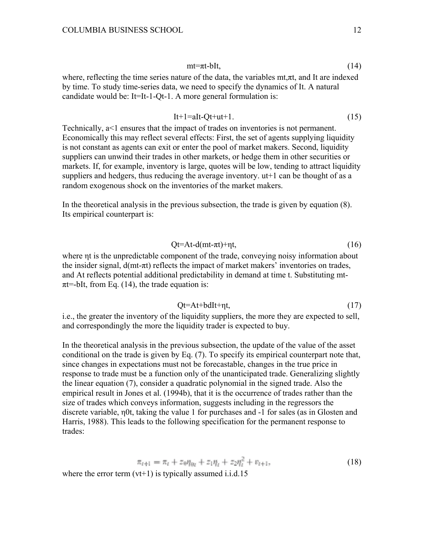$$
mt=\pi t \text{-}bIt,\tag{14}
$$

where, reflecting the time series nature of the data, the variables mt, $\pi t$ , and It are indexed by time. To study time-series data, we need to specify the dynamics of It. A natural candidate would be: It=It-1-Qt-1. A more general formulation is:

$$
It+1=aIt-Qt+ut+1.
$$
\n<sup>(15)</sup>

Technically,  $a<1$  ensures that the impact of trades on inventories is not permanent. Economically this may reflect several effects: First, the set of agents supplying liquidity is not constant as agents can exit or enter the pool of market makers. Second, liquidity suppliers can unwind their trades in other markets, or hedge them in other securities or markets. If, for example, inventory is large, quotes will be low, tending to attract liquidity suppliers and hedgers, thus reducing the average inventory,  $ut+1$  can be thought of as a random exogenous shock on the inventories of the market makers.

In the theoretical analysis in the previous subsection, the trade is given by equation (8). Its empirical counterpart is:

$$
Qt=At-d(mt-\pi t)+\eta t, \qquad (16)
$$

where nt is the unpredictable component of the trade, conveying noisy information about the insider signal,  $d(mt-\pi t)$  reflects the impact of market makers' inventories on trades, and At reflects potential additional predictability in demand at time t. Substituting mt- $\pi$ t=-bIt, from Eq. (14), the trade equation is:

$$
Qt=At+bdIt+\eta t,\tag{17}
$$

i.e., the greater the inventory of the liquidity suppliers, the more they are expected to sell, and correspondingly the more the liquidity trader is expected to buy.

In the theoretical analysis in the previous subsection, the update of the value of the asset conditional on the trade is given by Eq. (7). To specify its empirical counterpart note that, since changes in expectations must not be forecastable, changes in the true price in response to trade must be a function only of the unanticipated trade. Generalizing slightly the linear equation (7), consider a quadratic polynomial in the signed trade. Also the empirical result in Jones et al. (1994b), that it is the occurrence of trades rather than the size of trades which conveys information, suggests including in the regressors the discrete variable, η0t, taking the value 1 for purchases and -1 for sales (as in Glosten and Harris, 1988). This leads to the following specification for the permanent response to trades:

$$
\pi_{t+1} = \pi_t + z_0 \eta_{0t} + z_1 \eta_t + z_2 \eta_t^2 + v_{t+1},
$$
\n(18)

\nwhere the error term (vt+1) is typically assumed i.i.d.15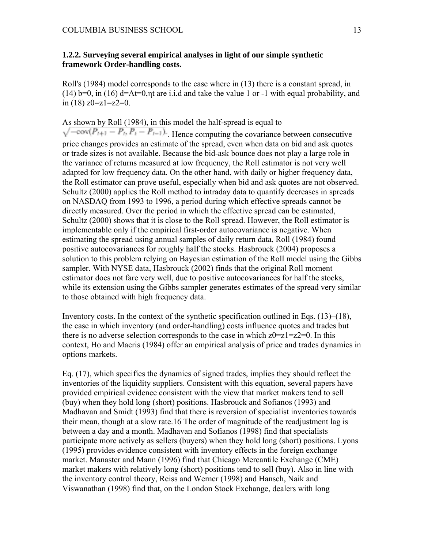### **1.2.2. Surveying several empirical analyses in light of our simple synthetic framework Order-handling costs.**

Roll's (1984) model corresponds to the case where in (13) there is a constant spread, in  $(14)$  b=0, in (16) d=At=0, $\pi$  are i.i.d and take the value 1 or -1 with equal probability, and in  $(18)$  z $0 = z1 = z2 = 0$ .

As shown by Roll (1984), in this model the half-spread is equal to  $\sqrt{-\text{cov}(P_{t+1} - P_t, P_t - P_{t-1})}$ . Hence computing the covariance between consecutive price changes provides an estimate of the spread, even when data on bid and ask quotes or trade sizes is not available. Because the bid-ask bounce does not play a large role in the variance of returns measured at low frequency, the Roll estimator is not very well adapted for low frequency data. On the other hand, with daily or higher frequency data, the Roll estimator can prove useful, especially when bid and ask quotes are not observed. Schultz (2000) applies the Roll method to intraday data to quantify decreases in spreads on NASDAQ from 1993 to 1996, a period during which effective spreads cannot be directly measured. Over the period in which the effective spread can be estimated, Schultz (2000) shows that it is close to the Roll spread. However, the Roll estimator is implementable only if the empirical first-order autocovariance is negative. When estimating the spread using annual samples of daily return data, Roll (1984) found positive autocovariances for roughly half the stocks. Hasbrouck (2004) proposes a solution to this problem relying on Bayesian estimation of the Roll model using the Gibbs sampler. With NYSE data, Hasbrouck (2002) finds that the original Roll moment estimator does not fare very well, due to positive autocovariances for half the stocks, while its extension using the Gibbs sampler generates estimates of the spread very similar to those obtained with high frequency data.

Inventory costs. In the context of the synthetic specification outlined in Eqs. (13)–(18), the case in which inventory (and order-handling) costs influence quotes and trades but there is no adverse selection corresponds to the case in which  $z0=z1=z2=0$ . In this context, Ho and Macris (1984) offer an empirical analysis of price and trades dynamics in options markets.

Eq. (17), which specifies the dynamics of signed trades, implies they should reflect the inventories of the liquidity suppliers. Consistent with this equation, several papers have provided empirical evidence consistent with the view that market makers tend to sell (buy) when they hold long (short) positions. Hasbrouck and Sofianos (1993) and Madhavan and Smidt (1993) find that there is reversion of specialist inventories towards their mean, though at a slow rate.16 The order of magnitude of the readjustment lag is between a day and a month. Madhavan and Sofianos (1998) find that specialists participate more actively as sellers (buyers) when they hold long (short) positions. Lyons (1995) provides evidence consistent with inventory effects in the foreign exchange market. Manaster and Mann (1996) find that Chicago Mercantile Exchange (CME) market makers with relatively long (short) positions tend to sell (buy). Also in line with the inventory control theory, Reiss and Werner (1998) and Hansch, Naik and Viswanathan (1998) find that, on the London Stock Exchange, dealers with long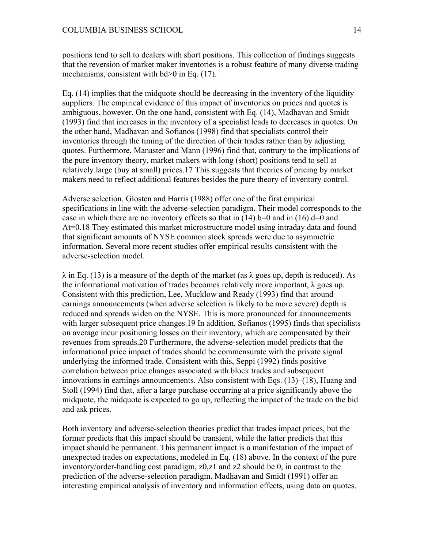positions tend to sell to dealers with short positions. This collection of findings suggests that the reversion of market maker inventories is a robust feature of many diverse trading mechanisms, consistent with bd $>0$  in Eq. (17).

Eq. (14) implies that the midquote should be decreasing in the inventory of the liquidity suppliers. The empirical evidence of this impact of inventories on prices and quotes is ambiguous, however. On the one hand, consistent with Eq. (14), Madhavan and Smidt (1993) find that increases in the inventory of a specialist leads to decreases in quotes. On the other hand, Madhavan and Sofianos (1998) find that specialists control their inventories through the timing of the direction of their trades rather than by adjusting quotes. Furthermore, Manaster and Mann (1996) find that, contrary to the implications of the pure inventory theory, market makers with long (short) positions tend to sell at relatively large (buy at small) prices.17 This suggests that theories of pricing by market makers need to reflect additional features besides the pure theory of inventory control.

Adverse selection. Glosten and Harris (1988) offer one of the first empirical specifications in line with the adverse-selection paradigm. Their model corresponds to the case in which there are no inventory effects so that in  $(14)$  b=0 and in  $(16)$  d=0 and At=0.18 They estimated this market microstructure model using intraday data and found that significant amounts of NYSE common stock spreads were due to asymmetric information. Several more recent studies offer empirical results consistent with the adverse-selection model.

 $\lambda$  in Eq. (13) is a measure of the depth of the market (as  $\lambda$  goes up, depth is reduced). As the informational motivation of trades becomes relatively more important,  $\lambda$  goes up. Consistent with this prediction, Lee, Mucklow and Ready (1993) find that around earnings announcements (when adverse selection is likely to be more severe) depth is reduced and spreads widen on the NYSE. This is more pronounced for announcements with larger subsequent price changes.19 In addition, Sofianos (1995) finds that specialists on average incur positioning losses on their inventory, which are compensated by their revenues from spreads.20 Furthermore, the adverse-selection model predicts that the informational price impact of trades should be commensurate with the private signal underlying the informed trade. Consistent with this, Seppi (1992) finds positive correlation between price changes associated with block trades and subsequent innovations in earnings announcements. Also consistent with Eqs. (13)–(18), Huang and Stoll (1994) find that, after a large purchase occurring at a price significantly above the midquote, the midquote is expected to go up, reflecting the impact of the trade on the bid and ask prices.

Both inventory and adverse-selection theories predict that trades impact prices, but the former predicts that this impact should be transient, while the latter predicts that this impact should be permanent. This permanent impact is a manifestation of the impact of unexpected trades on expectations, modeled in Eq. (18) above. In the context of the pure inventory/order-handling cost paradigm, z0,z1 and z2 should be 0, in contrast to the prediction of the adverse-selection paradigm. Madhavan and Smidt (1991) offer an interesting empirical analysis of inventory and information effects, using data on quotes,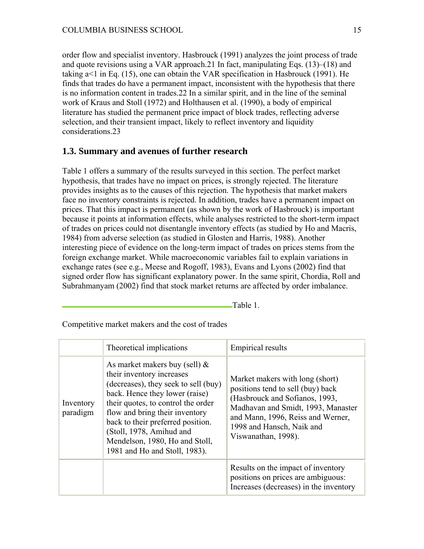order flow and specialist inventory. Hasbrouck (1991) analyzes the joint process of trade and quote revisions using a VAR approach.21 In fact, manipulating Eqs. (13)–(18) and taking a<1 in Eq. (15), one can obtain the VAR specification in Hasbrouck (1991). He finds that trades do have a permanent impact, inconsistent with the hypothesis that there is no information content in trades.22 In a similar spirit, and in the line of the seminal work of Kraus and Stoll (1972) and Holthausen et al. (1990), a body of empirical literature has studied the permanent price impact of block trades, reflecting adverse selection, and their transient impact, likely to reflect inventory and liquidity considerations.23

# **1.3. Summary and avenues of further research**

Table 1 offers a summary of the results surveyed in this section. The perfect market hypothesis, that trades have no impact on prices, is strongly rejected. The literature provides insights as to the causes of this rejection. The hypothesis that market makers face no inventory constraints is rejected. In addition, trades have a permanent impact on prices. That this impact is permanent (as shown by the work of Hasbrouck) is important because it points at information effects, while analyses restricted to the short-term impact of trades on prices could not disentangle inventory effects (as studied by Ho and Macris, 1984) from adverse selection (as studied in Glosten and Harris, 1988). Another interesting piece of evidence on the long-term impact of trades on prices stems from the foreign exchange market. While macroeconomic variables fail to explain variations in exchange rates (see e.g., Meese and Rogoff, 1983), Evans and Lyons (2002) find that signed order flow has significant explanatory power. In the same spirit, Chordia, Roll and Subrahmanyam (2002) find that stock market returns are affected by order imbalance.

Table 1.

|                       | Theoretical implications                                                                                                                                                                                                                                                                                                                            | <b>Empirical results</b>                                                                                                                                                                                                              |
|-----------------------|-----------------------------------------------------------------------------------------------------------------------------------------------------------------------------------------------------------------------------------------------------------------------------------------------------------------------------------------------------|---------------------------------------------------------------------------------------------------------------------------------------------------------------------------------------------------------------------------------------|
| Inventory<br>paradigm | As market makers buy (sell) $\&$<br>their inventory increases<br>(decreases), they seek to sell (buy)<br>back. Hence they lower (raise)<br>their quotes, to control the order<br>flow and bring their inventory<br>back to their preferred position.<br>(Stoll, 1978, Amihud and<br>Mendelson, 1980, Ho and Stoll,<br>1981 and Ho and Stoll, 1983). | Market makers with long (short)<br>positions tend to sell (buy) back<br>(Hasbrouck and Sofianos, 1993,<br>Madhavan and Smidt, 1993, Manaster<br>and Mann, 1996, Reiss and Werner,<br>1998 and Hansch, Naik and<br>Viswanathan, 1998). |
|                       |                                                                                                                                                                                                                                                                                                                                                     | Results on the impact of inventory<br>positions on prices are ambiguous:<br>Increases (decreases) in the inventory                                                                                                                    |

Competitive market makers and the cost of trades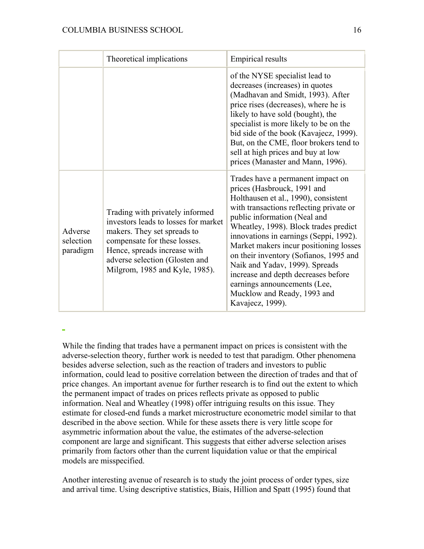|                                  | Theoretical implications                                                                                                                                                                                                                   | <b>Empirical results</b>                                                                                                                                                                                                                                                                                                                                                                                                                                                                                               |
|----------------------------------|--------------------------------------------------------------------------------------------------------------------------------------------------------------------------------------------------------------------------------------------|------------------------------------------------------------------------------------------------------------------------------------------------------------------------------------------------------------------------------------------------------------------------------------------------------------------------------------------------------------------------------------------------------------------------------------------------------------------------------------------------------------------------|
|                                  |                                                                                                                                                                                                                                            | of the NYSE specialist lead to<br>decreases (increases) in quotes<br>(Madhavan and Smidt, 1993). After<br>price rises (decreases), where he is<br>likely to have sold (bought), the<br>specialist is more likely to be on the<br>bid side of the book (Kavajecz, 1999).<br>But, on the CME, floor brokers tend to<br>sell at high prices and buy at low<br>prices (Manaster and Mann, 1996).                                                                                                                           |
| Adverse<br>selection<br>paradigm | Trading with privately informed<br>investors leads to losses for market<br>makers. They set spreads to<br>compensate for these losses.<br>Hence, spreads increase with<br>adverse selection (Glosten and<br>Milgrom, 1985 and Kyle, 1985). | Trades have a permanent impact on<br>prices (Hasbrouck, 1991 and<br>Holthausen et al., 1990), consistent<br>with transactions reflecting private or<br>public information (Neal and<br>Wheatley, 1998). Block trades predict<br>innovations in earnings (Seppi, 1992).<br>Market makers incur positioning losses<br>on their inventory (Sofianos, 1995 and<br>Naik and Yadav, 1999). Spreads<br>increase and depth decreases before<br>earnings announcements (Lee,<br>Mucklow and Ready, 1993 and<br>Kavajecz, 1999). |

While the finding that trades have a permanent impact on prices is consistent with the adverse-selection theory, further work is needed to test that paradigm. Other phenomena besides adverse selection, such as the reaction of traders and investors to public information, could lead to positive correlation between the direction of trades and that of price changes. An important avenue for further research is to find out the extent to which the permanent impact of trades on prices reflects private as opposed to public information. Neal and Wheatley (1998) offer intriguing results on this issue. They estimate for closed-end funds a market microstructure econometric model similar to that described in the above section. While for these assets there is very little scope for asymmetric information about the value, the estimates of the adverse-selection component are large and significant. This suggests that either adverse selection arises primarily from factors other than the current liquidation value or that the empirical models are misspecified.

Another interesting avenue of research is to study the joint process of order types, size and arrival time. Using descriptive statistics, Biais, Hillion and Spatt (1995) found that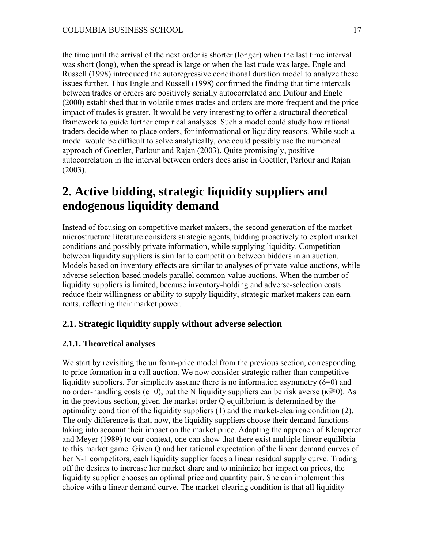the time until the arrival of the next order is shorter (longer) when the last time interval was short (long), when the spread is large or when the last trade was large. Engle and Russell (1998) introduced the autoregressive conditional duration model to analyze these issues further. Thus Engle and Russell (1998) confirmed the finding that time intervals between trades or orders are positively serially autocorrelated and Dufour and Engle (2000) established that in volatile times trades and orders are more frequent and the price impact of trades is greater. It would be very interesting to offer a structural theoretical framework to guide further empirical analyses. Such a model could study how rational traders decide when to place orders, for informational or liquidity reasons. While such a model would be difficult to solve analytically, one could possibly use the numerical approach of Goettler, Parlour and Rajan (2003). Quite promisingly, positive autocorrelation in the interval between orders does arise in Goettler, Parlour and Rajan (2003).

# **2. Active bidding, strategic liquidity suppliers and endogenous liquidity demand**

Instead of focusing on competitive market makers, the second generation of the market microstructure literature considers strategic agents, bidding proactively to exploit market conditions and possibly private information, while supplying liquidity. Competition between liquidity suppliers is similar to competition between bidders in an auction. Models based on inventory effects are similar to analyses of private-value auctions, while adverse selection-based models parallel common-value auctions. When the number of liquidity suppliers is limited, because inventory-holding and adverse-selection costs reduce their willingness or ability to supply liquidity, strategic market makers can earn rents, reflecting their market power.

# **2.1. Strategic liquidity supply without adverse selection**

#### **2.1.1. Theoretical analyses**

We start by revisiting the uniform-price model from the previous section, corresponding to price formation in a call auction. We now consider strategic rather than competitive liquidity suppliers. For simplicity assume there is no information asymmetry  $(\delta=0)$  and no order-handling costs (c=0), but the N liquidity suppliers can be risk averse ( $\kappa \ge 0$ ). As in the previous section, given the market order Q equilibrium is determined by the optimality condition of the liquidity suppliers (1) and the market-clearing condition (2). The only difference is that, now, the liquidity suppliers choose their demand functions taking into account their impact on the market price. Adapting the approach of Klemperer and Meyer (1989) to our context, one can show that there exist multiple linear equilibria to this market game. Given Q and her rational expectation of the linear demand curves of her N-1 competitors, each liquidity supplier faces a linear residual supply curve. Trading off the desires to increase her market share and to minimize her impact on prices, the liquidity supplier chooses an optimal price and quantity pair. She can implement this choice with a linear demand curve. The market-clearing condition is that all liquidity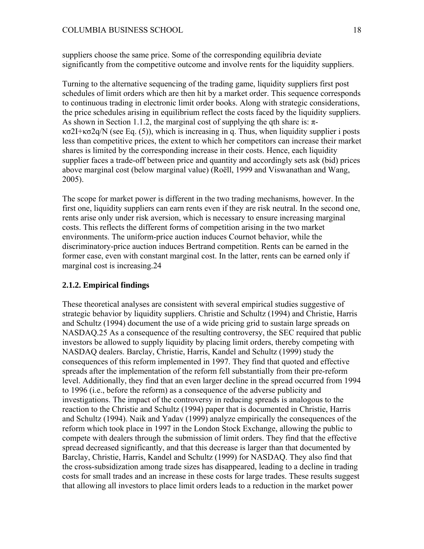suppliers choose the same price. Some of the corresponding equilibria deviate significantly from the competitive outcome and involve rents for the liquidity suppliers.

Turning to the alternative sequencing of the trading game, liquidity suppliers first post schedules of limit orders which are then hit by a market order. This sequence corresponds to continuous trading in electronic limit order books. Along with strategic considerations, the price schedules arising in equilibrium reflect the costs faced by the liquidity suppliers. As shown in Section 1.1.2, the marginal cost of supplying the qth share is:  $\pi$ κσ2I+κσ2q/N (see Eq. (5)), which is increasing in q. Thus, when liquidity supplier i posts less than competitive prices, the extent to which her competitors can increase their market shares is limited by the corresponding increase in their costs. Hence, each liquidity supplier faces a trade-off between price and quantity and accordingly sets ask (bid) prices above marginal cost (below marginal value) (Roëll, 1999 and Viswanathan and Wang, 2005).

The scope for market power is different in the two trading mechanisms, however. In the first one, liquidity suppliers can earn rents even if they are risk neutral. In the second one, rents arise only under risk aversion, which is necessary to ensure increasing marginal costs. This reflects the different forms of competition arising in the two market environments. The uniform-price auction induces Cournot behavior, while the discriminatory-price auction induces Bertrand competition. Rents can be earned in the former case, even with constant marginal cost. In the latter, rents can be earned only if marginal cost is increasing.24

#### **2.1.2. Empirical findings**

These theoretical analyses are consistent with several empirical studies suggestive of strategic behavior by liquidity suppliers. Christie and Schultz (1994) and Christie, Harris and Schultz (1994) document the use of a wide pricing grid to sustain large spreads on NASDAQ.25 As a consequence of the resulting controversy, the SEC required that public investors be allowed to supply liquidity by placing limit orders, thereby competing with NASDAQ dealers. Barclay, Christie, Harris, Kandel and Schultz (1999) study the consequences of this reform implemented in 1997. They find that quoted and effective spreads after the implementation of the reform fell substantially from their pre-reform level. Additionally, they find that an even larger decline in the spread occurred from 1994 to 1996 (i.e., before the reform) as a consequence of the adverse publicity and investigations. The impact of the controversy in reducing spreads is analogous to the reaction to the Christie and Schultz (1994) paper that is documented in Christie, Harris and Schultz (1994). Naik and Yadav (1999) analyze empirically the consequences of the reform which took place in 1997 in the London Stock Exchange, allowing the public to compete with dealers through the submission of limit orders. They find that the effective spread decreased significantly, and that this decrease is larger than that documented by Barclay, Christie, Harris, Kandel and Schultz (1999) for NASDAQ. They also find that the cross-subsidization among trade sizes has disappeared, leading to a decline in trading costs for small trades and an increase in these costs for large trades. These results suggest that allowing all investors to place limit orders leads to a reduction in the market power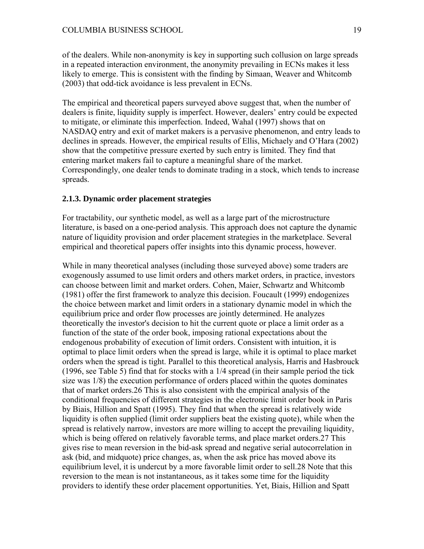of the dealers. While non-anonymity is key in supporting such collusion on large spreads in a repeated interaction environment, the anonymity prevailing in ECNs makes it less likely to emerge. This is consistent with the finding by Simaan, Weaver and Whitcomb (2003) that odd-tick avoidance is less prevalent in ECNs.

The empirical and theoretical papers surveyed above suggest that, when the number of dealers is finite, liquidity supply is imperfect. However, dealers' entry could be expected to mitigate, or eliminate this imperfection. Indeed, Wahal (1997) shows that on NASDAQ entry and exit of market makers is a pervasive phenomenon, and entry leads to declines in spreads. However, the empirical results of Ellis, Michaely and O'Hara (2002) show that the competitive pressure exerted by such entry is limited. They find that entering market makers fail to capture a meaningful share of the market. Correspondingly, one dealer tends to dominate trading in a stock, which tends to increase spreads.

### **2.1.3. Dynamic order placement strategies**

For tractability, our synthetic model, as well as a large part of the microstructure literature, is based on a one-period analysis. This approach does not capture the dynamic nature of liquidity provision and order placement strategies in the marketplace. Several empirical and theoretical papers offer insights into this dynamic process, however.

While in many theoretical analyses (including those surveyed above) some traders are exogenously assumed to use limit orders and others market orders, in practice, investors can choose between limit and market orders. Cohen, Maier, Schwartz and Whitcomb (1981) offer the first framework to analyze this decision. Foucault (1999) endogenizes the choice between market and limit orders in a stationary dynamic model in which the equilibrium price and order flow processes are jointly determined. He analyzes theoretically the investor's decision to hit the current quote or place a limit order as a function of the state of the order book, imposing rational expectations about the endogenous probability of execution of limit orders. Consistent with intuition, it is optimal to place limit orders when the spread is large, while it is optimal to place market orders when the spread is tight. Parallel to this theoretical analysis, Harris and Hasbrouck (1996, see Table 5) find that for stocks with a 1/4 spread (in their sample period the tick size was 1/8) the execution performance of orders placed within the quotes dominates that of market orders.26 This is also consistent with the empirical analysis of the conditional frequencies of different strategies in the electronic limit order book in Paris by Biais, Hillion and Spatt (1995). They find that when the spread is relatively wide liquidity is often supplied (limit order suppliers beat the existing quote), while when the spread is relatively narrow, investors are more willing to accept the prevailing liquidity, which is being offered on relatively favorable terms, and place market orders.27 This gives rise to mean reversion in the bid-ask spread and negative serial autocorrelation in ask (bid, and midquote) price changes, as, when the ask price has moved above its equilibrium level, it is undercut by a more favorable limit order to sell.28 Note that this reversion to the mean is not instantaneous, as it takes some time for the liquidity providers to identify these order placement opportunities. Yet, Biais, Hillion and Spatt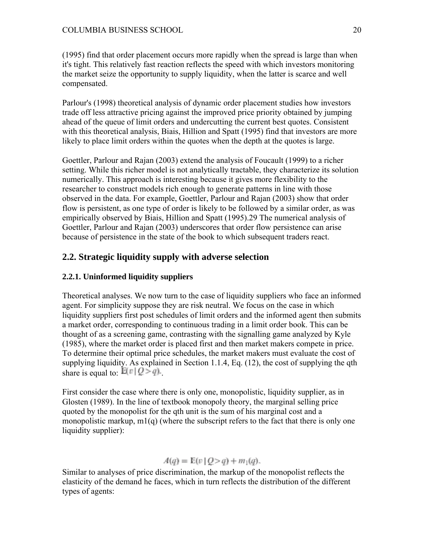(1995) find that order placement occurs more rapidly when the spread is large than when it's tight. This relatively fast reaction reflects the speed with which investors monitoring the market seize the opportunity to supply liquidity, when the latter is scarce and well compensated.

Parlour's (1998) theoretical analysis of dynamic order placement studies how investors trade off less attractive pricing against the improved price priority obtained by jumping ahead of the queue of limit orders and undercutting the current best quotes. Consistent with this theoretical analysis, Biais, Hillion and Spatt (1995) find that investors are more likely to place limit orders within the quotes when the depth at the quotes is large.

Goettler, Parlour and Rajan (2003) extend the analysis of Foucault (1999) to a richer setting. While this richer model is not analytically tractable, they characterize its solution numerically. This approach is interesting because it gives more flexibility to the researcher to construct models rich enough to generate patterns in line with those observed in the data. For example, Goettler, Parlour and Rajan (2003) show that order flow is persistent, as one type of order is likely to be followed by a similar order, as was empirically observed by Biais, Hillion and Spatt (1995).29 The numerical analysis of Goettler, Parlour and Rajan (2003) underscores that order flow persistence can arise because of persistence in the state of the book to which subsequent traders react.

# **2.2. Strategic liquidity supply with adverse selection**

# **2.2.1. Uninformed liquidity suppliers**

Theoretical analyses. We now turn to the case of liquidity suppliers who face an informed agent. For simplicity suppose they are risk neutral. We focus on the case in which liquidity suppliers first post schedules of limit orders and the informed agent then submits a market order, corresponding to continuous trading in a limit order book. This can be thought of as a screening game, contrasting with the signalling game analyzed by Kyle (1985), where the market order is placed first and then market makers compete in price. To determine their optimal price schedules, the market makers must evaluate the cost of supplying liquidity. As explained in Section 1.1.4, Eq. (12), the cost of supplying the qth share is equal to:  $\mathbb{E}(v | Q > q)$ .

First consider the case where there is only one, monopolistic, liquidity supplier, as in Glosten (1989). In the line of textbook monopoly theory, the marginal selling price quoted by the monopolist for the qth unit is the sum of his marginal cost and a monopolistic markup, m1(q) (where the subscript refers to the fact that there is only one liquidity supplier):

$$
A(q) = \mathbb{E}(v \mid Q > q) + m_1(q).
$$

Similar to analyses of price discrimination, the markup of the monopolist reflects the elasticity of the demand he faces, which in turn reflects the distribution of the different types of agents: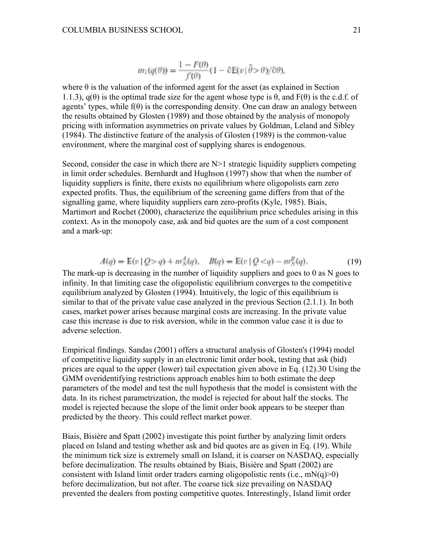$$
m_1(q(\theta)) = \frac{1 - F(\theta)}{f(\theta)} (1 - \partial E(v | \tilde{\theta} > \theta) / \partial \theta),
$$

where  $\theta$  is the valuation of the informed agent for the asset (as explained in Section 1.1.3),  $q(\theta)$  is the optimal trade size for the agent whose type is  $\theta$ , and  $F(\theta)$  is the c.d.f. of agents' types, while  $f(\theta)$  is the corresponding density. One can draw an analogy between the results obtained by Glosten (1989) and those obtained by the analysis of monopoly pricing with information asymmetries on private values by Goldman, Leland and Sibley (1984). The distinctive feature of the analysis of Glosten (1989) is the common-value environment, where the marginal cost of supplying shares is endogenous.

Second, consider the case in which there are N is trategic liquidity suppliers competing in limit order schedules. Bernhardt and Hughson (1997) show that when the number of liquidity suppliers is finite, there exists no equilibrium where oligopolists earn zero expected profits. Thus, the equilibrium of the screening game differs from that of the signalling game, where liquidity suppliers earn zero-profits (Kyle, 1985). Biais, Martimort and Rochet (2000), characterize the equilibrium price schedules arising in this context. As in the monopoly case, ask and bid quotes are the sum of a cost component and a mark-up:

$$
A(q) = \mathbb{E}(v \mid Q > q) + m_N^A(q), \quad B(q) = \mathbb{E}(v \mid Q < q) - m_N^B(q). \tag{19}
$$

The mark-up is decreasing in the number of liquidity suppliers and goes to 0 as N goes to infinity. In that limiting case the oligopolistic equilibrium converges to the competitive equilibrium analyzed by Glosten (1994). Intuitively, the logic of this equilibrium is similar to that of the private value case analyzed in the previous Section (2.1.1). In both cases, market power arises because marginal costs are increasing. In the private value case this increase is due to risk aversion, while in the common value case it is due to adverse selection.

Empirical findings. Sandas (2001) offers a structural analysis of Glosten's (1994) model of competitive liquidity supply in an electronic limit order book, testing that ask (bid) prices are equal to the upper (lower) tail expectation given above in Eq. (12).30 Using the GMM overidentifying restrictions approach enables him to both estimate the deep parameters of the model and test the null hypothesis that the model is consistent with the data. In its richest parametrization, the model is rejected for about half the stocks. The model is rejected because the slope of the limit order book appears to be steeper than predicted by the theory. This could reflect market power.

Biais, Bisière and Spatt (2002) investigate this point further by analyzing limit orders placed on Island and testing whether ask and bid quotes are as given in Eq. (19). While the minimum tick size is extremely small on Island, it is coarser on NASDAQ, especially before decimalization. The results obtained by Biais, Bisière and Spatt (2002) are consistent with Island limit order traders earning oligopolistic rents (i.e.,  $mN(q) > 0$ ) before decimalization, but not after. The coarse tick size prevailing on NASDAQ prevented the dealers from posting competitive quotes. Interestingly, Island limit order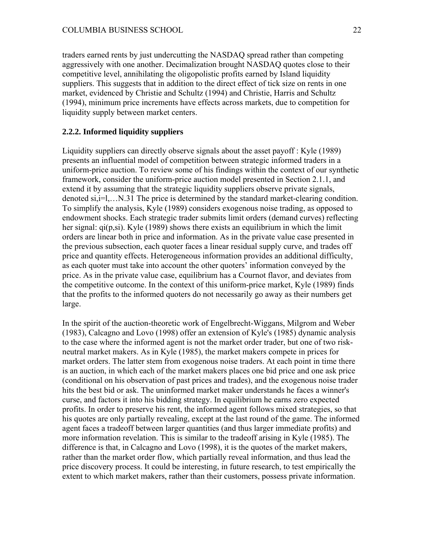traders earned rents by just undercutting the NASDAQ spread rather than competing aggressively with one another. Decimalization brought NASDAQ quotes close to their competitive level, annihilating the oligopolistic profits earned by Island liquidity suppliers. This suggests that in addition to the direct effect of tick size on rents in one market, evidenced by Christie and Schultz (1994) and Christie, Harris and Schultz (1994), minimum price increments have effects across markets, due to competition for liquidity supply between market centers.

#### **2.2.2. Informed liquidity suppliers**

Liquidity suppliers can directly observe signals about the asset payoff : Kyle (1989) presents an influential model of competition between strategic informed traders in a uniform-price auction. To review some of his findings within the context of our synthetic framework, consider the uniform-price auction model presented in Section 2.1.1, and extend it by assuming that the strategic liquidity suppliers observe private signals, denoted si,i=l,…N.31 The price is determined by the standard market-clearing condition. To simplify the analysis, Kyle (1989) considers exogenous noise trading, as opposed to endowment shocks. Each strategic trader submits limit orders (demand curves) reflecting her signal:  $qi(p,si)$ . Kyle (1989) shows there exists an equilibrium in which the limit orders are linear both in price and information. As in the private value case presented in the previous subsection, each quoter faces a linear residual supply curve, and trades off price and quantity effects. Heterogeneous information provides an additional difficulty, as each quoter must take into account the other quoters' information conveyed by the price. As in the private value case, equilibrium has a Cournot flavor, and deviates from the competitive outcome. In the context of this uniform-price market, Kyle (1989) finds that the profits to the informed quoters do not necessarily go away as their numbers get large.

In the spirit of the auction-theoretic work of Engelbrecht-Wiggans, Milgrom and Weber (1983), Calcagno and Lovo (1998) offer an extension of Kyle's (1985) dynamic analysis to the case where the informed agent is not the market order trader, but one of two riskneutral market makers. As in Kyle (1985), the market makers compete in prices for market orders. The latter stem from exogenous noise traders. At each point in time there is an auction, in which each of the market makers places one bid price and one ask price (conditional on his observation of past prices and trades), and the exogenous noise trader hits the best bid or ask. The uninformed market maker understands he faces a winner's curse, and factors it into his bidding strategy. In equilibrium he earns zero expected profits. In order to preserve his rent, the informed agent follows mixed strategies, so that his quotes are only partially revealing, except at the last round of the game. The informed agent faces a tradeoff between larger quantities (and thus larger immediate profits) and more information revelation. This is similar to the tradeoff arising in Kyle (1985). The difference is that, in Calcagno and Lovo (1998), it is the quotes of the market makers, rather than the market order flow, which partially reveal information, and thus lead the price discovery process. It could be interesting, in future research, to test empirically the extent to which market makers, rather than their customers, possess private information.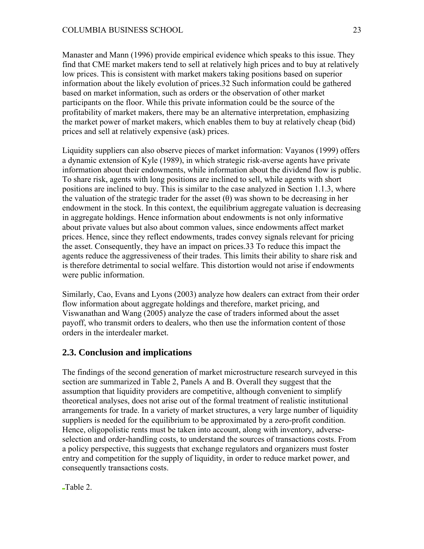Manaster and Mann (1996) provide empirical evidence which speaks to this issue. They find that CME market makers tend to sell at relatively high prices and to buy at relatively low prices. This is consistent with market makers taking positions based on superior information about the likely evolution of prices.32 Such information could be gathered based on market information, such as orders or the observation of other market participants on the floor. While this private information could be the source of the profitability of market makers, there may be an alternative interpretation, emphasizing the market power of market makers, which enables them to buy at relatively cheap (bid) prices and sell at relatively expensive (ask) prices.

Liquidity suppliers can also observe pieces of market information: Vayanos (1999) offers a dynamic extension of Kyle (1989), in which strategic risk-averse agents have private information about their endowments, while information about the dividend flow is public. To share risk, agents with long positions are inclined to sell, while agents with short positions are inclined to buy. This is similar to the case analyzed in Section 1.1.3, where the valuation of the strategic trader for the asset  $(\theta)$  was shown to be decreasing in her endowment in the stock. In this context, the equilibrium aggregate valuation is decreasing in aggregate holdings. Hence information about endowments is not only informative about private values but also about common values, since endowments affect market prices. Hence, since they reflect endowments, trades convey signals relevant for pricing the asset. Consequently, they have an impact on prices.33 To reduce this impact the agents reduce the aggressiveness of their trades. This limits their ability to share risk and is therefore detrimental to social welfare. This distortion would not arise if endowments were public information.

Similarly, Cao, Evans and Lyons (2003) analyze how dealers can extract from their order flow information about aggregate holdings and therefore, market pricing, and Viswanathan and Wang (2005) analyze the case of traders informed about the asset payoff, who transmit orders to dealers, who then use the information content of those orders in the interdealer market.

# **2.3. Conclusion and implications**

The findings of the second generation of market microstructure research surveyed in this section are summarized in Table 2, Panels A and B. Overall they suggest that the assumption that liquidity providers are competitive, although convenient to simplify theoretical analyses, does not arise out of the formal treatment of realistic institutional arrangements for trade. In a variety of market structures, a very large number of liquidity suppliers is needed for the equilibrium to be approximated by a zero-profit condition. Hence, oligopolistic rents must be taken into account, along with inventory, adverseselection and order-handling costs, to understand the sources of transactions costs. From a policy perspective, this suggests that exchange regulators and organizers must foster entry and competition for the supply of liquidity, in order to reduce market power, and consequently transactions costs.

Table 2.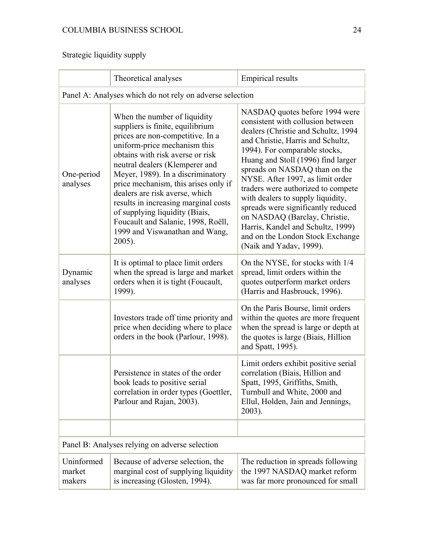Strategic liquidity supply

|                                                          | Theoretical analyses                                                                                                                                                                                                                                                                                                                                                                                                                                                                  | <b>Empirical results</b>                                                                                                                                                                                                                                                                                                                                                                                                                                                                                                                           |  |  |
|----------------------------------------------------------|---------------------------------------------------------------------------------------------------------------------------------------------------------------------------------------------------------------------------------------------------------------------------------------------------------------------------------------------------------------------------------------------------------------------------------------------------------------------------------------|----------------------------------------------------------------------------------------------------------------------------------------------------------------------------------------------------------------------------------------------------------------------------------------------------------------------------------------------------------------------------------------------------------------------------------------------------------------------------------------------------------------------------------------------------|--|--|
| Panel A: Analyses which do not rely on adverse selection |                                                                                                                                                                                                                                                                                                                                                                                                                                                                                       |                                                                                                                                                                                                                                                                                                                                                                                                                                                                                                                                                    |  |  |
| One-period<br>analyses                                   | When the number of liquidity<br>suppliers is finite, equilibrium<br>prices are non-competitive. In a<br>uniform-price mechanism this<br>obtains with risk averse or risk<br>neutral dealers (Klemperer and<br>Meyer, 1989). In a discriminatory<br>price mechanism, this arises only if<br>dealers are risk averse, which<br>results in increasing marginal costs<br>of supplying liquidity (Biais,<br>Foucault and Salanie, 1998, Roëll,<br>1999 and Viswanathan and Wang,<br>2005). | NASDAQ quotes before 1994 were<br>consistent with collusion between<br>dealers (Christie and Schultz, 1994)<br>and Christie, Harris and Schultz,<br>1994). For comparable stocks,<br>Huang and Stoll (1996) find larger<br>spreads on NASDAQ than on the<br>NYSE. After 1997, as limit order<br>traders were authorized to compete<br>with dealers to supply liquidity,<br>spreads were significantly reduced<br>on NASDAQ (Barclay, Christie,<br>Harris, Kandel and Schultz, 1999)<br>and on the London Stock Exchange<br>(Naik and Yadav, 1999). |  |  |
| Dynamic<br>analyses                                      | It is optimal to place limit orders<br>when the spread is large and market<br>orders when it is tight (Foucault,<br>1999).                                                                                                                                                                                                                                                                                                                                                            | On the NYSE, for stocks with 1/4<br>spread, limit orders within the<br>quotes outperform market orders<br>(Harris and Hasbrouck, 1996).                                                                                                                                                                                                                                                                                                                                                                                                            |  |  |
|                                                          | Investors trade off time priority and<br>price when deciding where to place<br>orders in the book (Parlour, 1998).                                                                                                                                                                                                                                                                                                                                                                    | On the Paris Bourse, limit orders<br>within the quotes are more frequent<br>when the spread is large or depth at<br>the quotes is large (Biais, Hillion<br>and Spatt, 1995).                                                                                                                                                                                                                                                                                                                                                                       |  |  |
|                                                          | Persistence in states of the order<br>book leads to positive serial<br>correlation in order types (Goettler,<br>Parlour and Rajan, 2003).                                                                                                                                                                                                                                                                                                                                             | Limit orders exhibit positive serial<br>correlation (Biais, Hillion and<br>Spatt, 1995, Griffiths, Smith,<br>Turnbull and White, 2000 and<br>Ellul, Holden, Jain and Jennings,<br>2003).                                                                                                                                                                                                                                                                                                                                                           |  |  |
|                                                          |                                                                                                                                                                                                                                                                                                                                                                                                                                                                                       |                                                                                                                                                                                                                                                                                                                                                                                                                                                                                                                                                    |  |  |
| Panel B: Analyses relying on adverse selection           |                                                                                                                                                                                                                                                                                                                                                                                                                                                                                       |                                                                                                                                                                                                                                                                                                                                                                                                                                                                                                                                                    |  |  |
| Uninformed<br>market<br>makers                           | Because of adverse selection, the<br>marginal cost of supplying liquidity<br>is increasing (Glosten, 1994).                                                                                                                                                                                                                                                                                                                                                                           | The reduction in spreads following<br>the 1997 NASDAQ market reform<br>was far more pronounced for small                                                                                                                                                                                                                                                                                                                                                                                                                                           |  |  |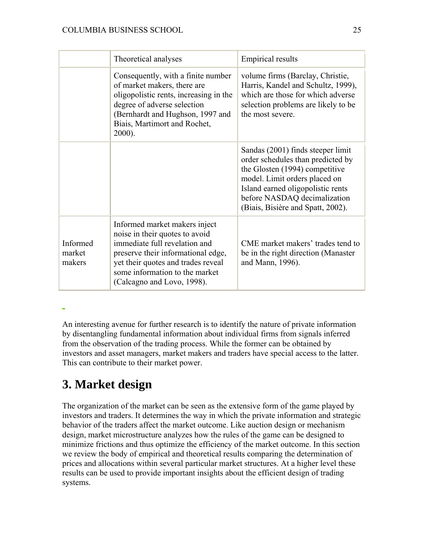|                              | Theoretical analyses                                                                                                                                                                                                                         | <b>Empirical results</b>                                                                                                                                                                                                                            |
|------------------------------|----------------------------------------------------------------------------------------------------------------------------------------------------------------------------------------------------------------------------------------------|-----------------------------------------------------------------------------------------------------------------------------------------------------------------------------------------------------------------------------------------------------|
|                              | Consequently, with a finite number<br>of market makers, there are<br>oligopolistic rents, increasing in the<br>degree of adverse selection<br>(Bernhardt and Hughson, 1997 and<br>Biais, Martimort and Rochet,<br>$2000$ ).                  | volume firms (Barclay, Christie,<br>Harris, Kandel and Schultz, 1999),<br>which are those for which adverse<br>selection problems are likely to be<br>the most severe.                                                                              |
|                              |                                                                                                                                                                                                                                              | Sandas (2001) finds steeper limit<br>order schedules than predicted by<br>the Glosten (1994) competitive<br>model. Limit orders placed on<br>Island earned oligopolistic rents<br>before NASDAQ decimalization<br>(Biais, Bisière and Spatt, 2002). |
| Informed<br>market<br>makers | Informed market makers inject<br>noise in their quotes to avoid<br>immediate full revelation and<br>preserve their informational edge,<br>yet their quotes and trades reveal<br>some information to the market<br>(Calcagno and Lovo, 1998). | CME market makers' trades tend to<br>be in the right direction (Manaster)<br>and Mann, 1996).                                                                                                                                                       |

An interesting avenue for further research is to identify the nature of private information by disentangling fundamental information about individual firms from signals inferred from the observation of the trading process. While the former can be obtained by investors and asset managers, market makers and traders have special access to the latter. This can contribute to their market power.

# **3. Market design**

The organization of the market can be seen as the extensive form of the game played by investors and traders. It determines the way in which the private information and strategic behavior of the traders affect the market outcome. Like auction design or mechanism design, market microstructure analyzes how the rules of the game can be designed to minimize frictions and thus optimize the efficiency of the market outcome. In this section we review the body of empirical and theoretical results comparing the determination of prices and allocations within several particular market structures. At a higher level these results can be used to provide important insights about the efficient design of trading systems.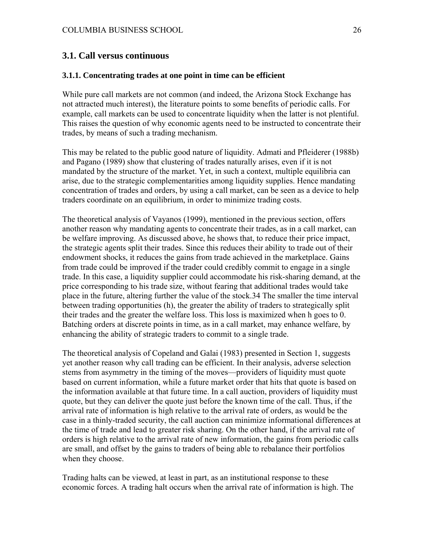## **3.1. Call versus continuous**

#### **3.1.1. Concentrating trades at one point in time can be efficient**

While pure call markets are not common (and indeed, the Arizona Stock Exchange has not attracted much interest), the literature points to some benefits of periodic calls. For example, call markets can be used to concentrate liquidity when the latter is not plentiful. This raises the question of why economic agents need to be instructed to concentrate their trades, by means of such a trading mechanism.

This may be related to the public good nature of liquidity. Admati and Pfleiderer (1988b) and Pagano (1989) show that clustering of trades naturally arises, even if it is not mandated by the structure of the market. Yet, in such a context, multiple equilibria can arise, due to the strategic complementarities among liquidity supplies. Hence mandating concentration of trades and orders, by using a call market, can be seen as a device to help traders coordinate on an equilibrium, in order to minimize trading costs.

The theoretical analysis of Vayanos (1999), mentioned in the previous section, offers another reason why mandating agents to concentrate their trades, as in a call market, can be welfare improving. As discussed above, he shows that, to reduce their price impact, the strategic agents split their trades. Since this reduces their ability to trade out of their endowment shocks, it reduces the gains from trade achieved in the marketplace. Gains from trade could be improved if the trader could credibly commit to engage in a single trade. In this case, a liquidity supplier could accommodate his risk-sharing demand, at the price corresponding to his trade size, without fearing that additional trades would take place in the future, altering further the value of the stock.34 The smaller the time interval between trading opportunities (h), the greater the ability of traders to strategically split their trades and the greater the welfare loss. This loss is maximized when h goes to 0. Batching orders at discrete points in time, as in a call market, may enhance welfare, by enhancing the ability of strategic traders to commit to a single trade.

The theoretical analysis of Copeland and Galai (1983) presented in Section 1, suggests yet another reason why call trading can be efficient. In their analysis, adverse selection stems from asymmetry in the timing of the moves—providers of liquidity must quote based on current information, while a future market order that hits that quote is based on the information available at that future time. In a call auction, providers of liquidity must quote, but they can deliver the quote just before the known time of the call. Thus, if the arrival rate of information is high relative to the arrival rate of orders, as would be the case in a thinly-traded security, the call auction can minimize informational differences at the time of trade and lead to greater risk sharing. On the other hand, if the arrival rate of orders is high relative to the arrival rate of new information, the gains from periodic calls are small, and offset by the gains to traders of being able to rebalance their portfolios when they choose.

Trading halts can be viewed, at least in part, as an institutional response to these economic forces. A trading halt occurs when the arrival rate of information is high. The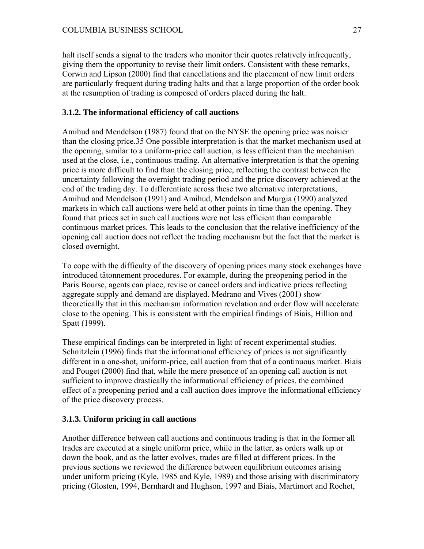halt itself sends a signal to the traders who monitor their quotes relatively infrequently, giving them the opportunity to revise their limit orders. Consistent with these remarks, Corwin and Lipson (2000) find that cancellations and the placement of new limit orders are particularly frequent during trading halts and that a large proportion of the order book at the resumption of trading is composed of orders placed during the halt.

# **3.1.2. The informational efficiency of call auctions**

Amihud and Mendelson (1987) found that on the NYSE the opening price was noisier than the closing price.35 One possible interpretation is that the market mechanism used at the opening, similar to a uniform-price call auction, is less efficient than the mechanism used at the close, i.e., continuous trading. An alternative interpretation is that the opening price is more difficult to find than the closing price, reflecting the contrast between the uncertainty following the overnight trading period and the price discovery achieved at the end of the trading day. To differentiate across these two alternative interpretations, Amihud and Mendelson (1991) and Amihud, Mendelson and Murgia (1990) analyzed markets in which call auctions were held at other points in time than the opening. They found that prices set in such call auctions were not less efficient than comparable continuous market prices. This leads to the conclusion that the relative inefficiency of the opening call auction does not reflect the trading mechanism but the fact that the market is closed overnight.

To cope with the difficulty of the discovery of opening prices many stock exchanges have introduced tâtonnement procedures. For example, during the preopening period in the Paris Bourse, agents can place, revise or cancel orders and indicative prices reflecting aggregate supply and demand are displayed. Medrano and Vives (2001) show theoretically that in this mechanism information revelation and order flow will accelerate close to the opening. This is consistent with the empirical findings of Biais, Hillion and Spatt (1999).

These empirical findings can be interpreted in light of recent experimental studies. Schnitzlein (1996) finds that the informational efficiency of prices is not significantly different in a one-shot, uniform-price, call auction from that of a continuous market. Biais and Pouget (2000) find that, while the mere presence of an opening call auction is not sufficient to improve drastically the informational efficiency of prices, the combined effect of a preopening period and a call auction does improve the informational efficiency of the price discovery process.

# **3.1.3. Uniform pricing in call auctions**

Another difference between call auctions and continuous trading is that in the former all trades are executed at a single uniform price, while in the latter, as orders walk up or down the book, and as the latter evolves, trades are filled at different prices. In the previous sections we reviewed the difference between equilibrium outcomes arising under uniform pricing (Kyle, 1985 and Kyle, 1989) and those arising with discriminatory pricing (Glosten, 1994, Bernhardt and Hughson, 1997 and Biais, Martimort and Rochet,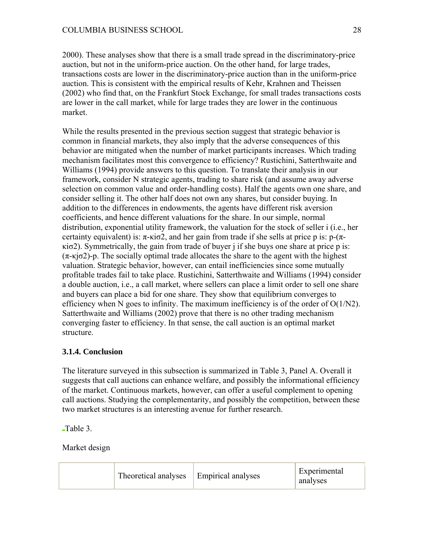2000). These analyses show that there is a small trade spread in the discriminatory-price auction, but not in the uniform-price auction. On the other hand, for large trades, transactions costs are lower in the discriminatory-price auction than in the uniform-price auction. This is consistent with the empirical results of Kehr, Krahnen and Theissen (2002) who find that, on the Frankfurt Stock Exchange, for small trades transactions costs are lower in the call market, while for large trades they are lower in the continuous market.

While the results presented in the previous section suggest that strategic behavior is common in financial markets, they also imply that the adverse consequences of this behavior are mitigated when the number of market participants increases. Which trading mechanism facilitates most this convergence to efficiency? Rustichini, Satterthwaite and Williams (1994) provide answers to this question. To translate their analysis in our framework, consider N strategic agents, trading to share risk (and assume away adverse selection on common value and order-handling costs). Half the agents own one share, and consider selling it. The other half does not own any shares, but consider buying. In addition to the differences in endowments, the agents have different risk aversion coefficients, and hence different valuations for the share. In our simple, normal distribution, exponential utility framework, the valuation for the stock of seller i (i.e., her certainty equivalent) is:  $π$ -κiσ2, and her gain from trade if she sells at price p is: p-( $π$  $k$ is is: Symmetrically, the gain from trade of buyer j if she buys one share at price p is: (π-κjσ2)-p. The socially optimal trade allocates the share to the agent with the highest valuation. Strategic behavior, however, can entail inefficiencies since some mutually profitable trades fail to take place. Rustichini, Satterthwaite and Williams (1994) consider a double auction, i.e., a call market, where sellers can place a limit order to sell one share and buyers can place a bid for one share. They show that equilibrium converges to efficiency when N goes to infinity. The maximum inefficiency is of the order of  $O(1/N2)$ . Satterthwaite and Williams (2002) prove that there is no other trading mechanism converging faster to efficiency. In that sense, the call auction is an optimal market structure.

# **3.1.4. Conclusion**

The literature surveyed in this subsection is summarized in Table 3, Panel A. Overall it suggests that call auctions can enhance welfare, and possibly the informational efficiency of the market. Continuous markets, however, can offer a useful complement to opening call auctions. Studying the complementarity, and possibly the competition, between these two market structures is an interesting avenue for further research.

Table 3.

Market design

| Theoretical analyses | Empirical analyses | Experimental<br>analyses |
|----------------------|--------------------|--------------------------|
|----------------------|--------------------|--------------------------|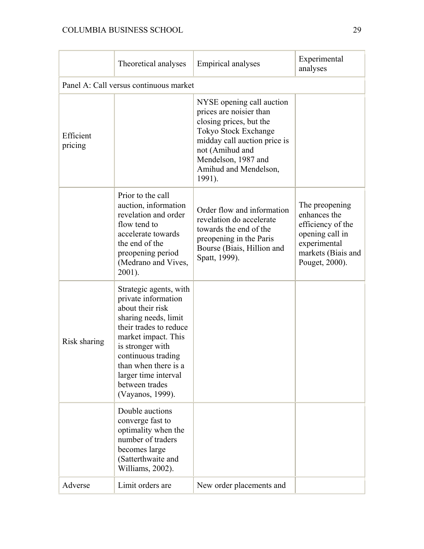|                      | Theoretical analyses                                                                                                                                                                                                                                                       | <b>Empirical analyses</b>                                                                                                                                                                                            | Experimental<br>analyses                                                                                                       |
|----------------------|----------------------------------------------------------------------------------------------------------------------------------------------------------------------------------------------------------------------------------------------------------------------------|----------------------------------------------------------------------------------------------------------------------------------------------------------------------------------------------------------------------|--------------------------------------------------------------------------------------------------------------------------------|
|                      | Panel A: Call versus continuous market                                                                                                                                                                                                                                     |                                                                                                                                                                                                                      |                                                                                                                                |
| Efficient<br>pricing |                                                                                                                                                                                                                                                                            | NYSE opening call auction<br>prices are noisier than<br>closing prices, but the<br>Tokyo Stock Exchange<br>midday call auction price is<br>not (Amihud and<br>Mendelson, 1987 and<br>Amihud and Mendelson,<br>1991). |                                                                                                                                |
|                      | Prior to the call<br>auction, information<br>revelation and order<br>flow tend to<br>accelerate towards<br>the end of the<br>preopening period<br>(Medrano and Vives,<br>2001).                                                                                            | Order flow and information<br>revelation do accelerate<br>towards the end of the<br>preopening in the Paris<br>Bourse (Biais, Hillion and<br>Spatt, 1999).                                                           | The preopening<br>enhances the<br>efficiency of the<br>opening call in<br>experimental<br>markets (Biais and<br>Pouget, 2000). |
| Risk sharing         | Strategic agents, with<br>private information<br>about their risk<br>sharing needs, limit<br>their trades to reduce<br>market impact. This<br>is stronger with<br>continuous trading<br>than when there is a<br>larger time interval<br>between trades<br>(Vayanos, 1999). |                                                                                                                                                                                                                      |                                                                                                                                |
|                      | Double auctions<br>converge fast to<br>optimality when the<br>number of traders<br>becomes large<br>(Satterthwaite and<br>Williams, 2002).                                                                                                                                 |                                                                                                                                                                                                                      |                                                                                                                                |
| Adverse              | Limit orders are                                                                                                                                                                                                                                                           | New order placements and                                                                                                                                                                                             |                                                                                                                                |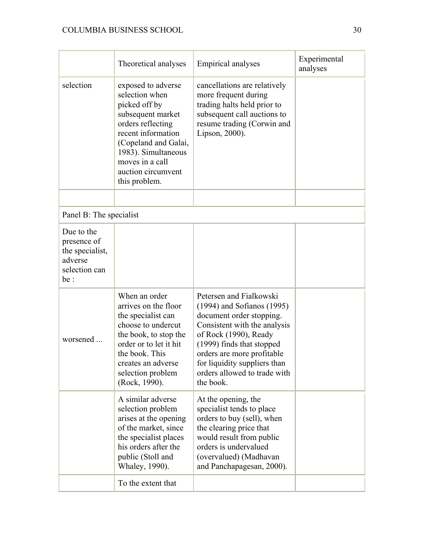|                                                                                 | Theoretical analyses                                                                                                                                                                                                           | <b>Empirical analyses</b>                                                                                                                                                                                                                                                              | Experimental<br>analyses |
|---------------------------------------------------------------------------------|--------------------------------------------------------------------------------------------------------------------------------------------------------------------------------------------------------------------------------|----------------------------------------------------------------------------------------------------------------------------------------------------------------------------------------------------------------------------------------------------------------------------------------|--------------------------|
| selection                                                                       | exposed to adverse<br>selection when<br>picked off by<br>subsequent market<br>orders reflecting<br>recent information<br>(Copeland and Galai,<br>1983). Simultaneous<br>moves in a call<br>auction circumvent<br>this problem. | cancellations are relatively<br>more frequent during<br>trading halts held prior to<br>subsequent call auctions to<br>resume trading (Corwin and<br>Lipson, 2000).                                                                                                                     |                          |
|                                                                                 |                                                                                                                                                                                                                                |                                                                                                                                                                                                                                                                                        |                          |
| Panel B: The specialist                                                         |                                                                                                                                                                                                                                |                                                                                                                                                                                                                                                                                        |                          |
| Due to the<br>presence of<br>the specialist,<br>adverse<br>selection can<br>be: |                                                                                                                                                                                                                                |                                                                                                                                                                                                                                                                                        |                          |
| worsened                                                                        | When an order<br>arrives on the floor<br>the specialist can<br>choose to undercut<br>the book, to stop the<br>order or to let it hit<br>the book. This<br>creates an adverse<br>selection problem<br>(Rock, 1990).             | Petersen and Fialkowski<br>$(1994)$ and Sofianos $(1995)$<br>document order stopping.<br>Consistent with the analysis<br>of Rock (1990), Ready<br>(1999) finds that stopped<br>orders are more profitable<br>for liquidity suppliers than<br>orders allowed to trade with<br>the book. |                          |
|                                                                                 | A similar adverse<br>selection problem<br>arises at the opening<br>of the market, since<br>the specialist places<br>his orders after the<br>public (Stoll and<br>Whaley, 1990).                                                | At the opening, the<br>specialist tends to place<br>orders to buy (sell), when<br>the clearing price that<br>would result from public<br>orders is undervalued<br>(overvalued) (Madhavan<br>and Panchapagesan, 2000).                                                                  |                          |
|                                                                                 | To the extent that                                                                                                                                                                                                             |                                                                                                                                                                                                                                                                                        |                          |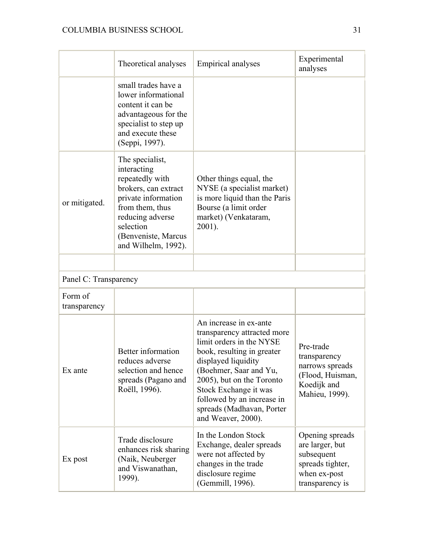|                         | Theoretical analyses                                                                                                                                                                               | Empirical analyses                                                                                                                                                                                                                                                                                      | Experimental<br>analyses                                                                                |
|-------------------------|----------------------------------------------------------------------------------------------------------------------------------------------------------------------------------------------------|---------------------------------------------------------------------------------------------------------------------------------------------------------------------------------------------------------------------------------------------------------------------------------------------------------|---------------------------------------------------------------------------------------------------------|
|                         | small trades have a<br>lower informational<br>content it can be<br>advantageous for the<br>specialist to step up<br>and execute these<br>(Seppi, 1997).                                            |                                                                                                                                                                                                                                                                                                         |                                                                                                         |
| or mitigated.           | The specialist,<br>interacting<br>repeatedly with<br>brokers, can extract<br>private information<br>from them, thus<br>reducing adverse<br>selection<br>(Benveniste, Marcus<br>and Wilhelm, 1992). | Other things equal, the<br>NYSE (a specialist market)<br>is more liquid than the Paris<br>Bourse (a limit order<br>market) (Venkataram,<br>$2001$ ).                                                                                                                                                    |                                                                                                         |
|                         |                                                                                                                                                                                                    |                                                                                                                                                                                                                                                                                                         |                                                                                                         |
| Panel C: Transparency   |                                                                                                                                                                                                    |                                                                                                                                                                                                                                                                                                         |                                                                                                         |
| Form of<br>transparency |                                                                                                                                                                                                    |                                                                                                                                                                                                                                                                                                         |                                                                                                         |
| Ex ante                 | Better information<br>reduces adverse<br>selection and hence<br>spreads (Pagano and<br>Roëll, 1996).                                                                                               | An increase in ex-ante<br>transparency attracted more<br>limit orders in the NYSE<br>book, resulting in greater<br>displayed liquidity<br>(Boehmer, Saar and Yu,<br>2005), but on the Toronto<br>Stock Exchange it was<br>followed by an increase in<br>spreads (Madhavan, Porter<br>and Weaver, 2000). | Pre-trade<br>transparency<br>narrows spreads<br>(Flood, Huisman,<br>Koedijk and<br>Mahieu, 1999).       |
| Ex post                 | Trade disclosure<br>enhances risk sharing<br>(Naik, Neuberger<br>and Viswanathan,<br>1999).                                                                                                        | In the London Stock<br>Exchange, dealer spreads<br>were not affected by<br>changes in the trade<br>disclosure regime<br>(Gemmill, 1996).                                                                                                                                                                | Opening spreads<br>are larger, but<br>subsequent<br>spreads tighter,<br>when ex-post<br>transparency is |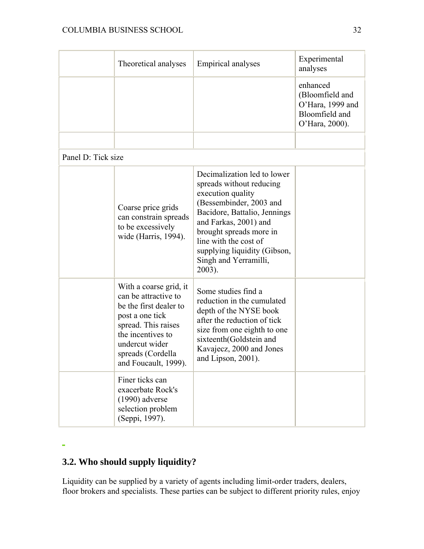|                    | Theoretical analyses                                                                                                                                                                                   | <b>Empirical analyses</b>                                                                                                                                                                                                                                                               | Experimental<br>analyses                                                            |
|--------------------|--------------------------------------------------------------------------------------------------------------------------------------------------------------------------------------------------------|-----------------------------------------------------------------------------------------------------------------------------------------------------------------------------------------------------------------------------------------------------------------------------------------|-------------------------------------------------------------------------------------|
|                    |                                                                                                                                                                                                        |                                                                                                                                                                                                                                                                                         | enhanced<br>(Bloomfield and<br>O'Hara, 1999 and<br>Bloomfield and<br>O'Hara, 2000). |
|                    |                                                                                                                                                                                                        |                                                                                                                                                                                                                                                                                         |                                                                                     |
| Panel D: Tick size |                                                                                                                                                                                                        |                                                                                                                                                                                                                                                                                         |                                                                                     |
|                    | Coarse price grids<br>can constrain spreads<br>to be excessively<br>wide (Harris, 1994).                                                                                                               | Decimalization led to lower<br>spreads without reducing<br>execution quality<br>(Bessembinder, 2003 and<br>Bacidore, Battalio, Jennings<br>and Farkas, 2001) and<br>brought spreads more in<br>line with the cost of<br>supplying liquidity (Gibson,<br>Singh and Yerramilli,<br>2003). |                                                                                     |
|                    | With a coarse grid, it<br>can be attractive to<br>be the first dealer to<br>post a one tick<br>spread. This raises<br>the incentives to<br>undercut wider<br>spreads (Cordella<br>and Foucault, 1999). | Some studies find a<br>reduction in the cumulated<br>depth of the NYSE book<br>after the reduction of tick<br>size from one eighth to one<br>sixteenth(Goldstein and<br>Kavajecz, 2000 and Jones<br>and Lipson, 2001).                                                                  |                                                                                     |
|                    | Finer ticks can<br>exacerbate Rock's<br>$(1990)$ adverse<br>selection problem<br>(Seppi, 1997).                                                                                                        |                                                                                                                                                                                                                                                                                         |                                                                                     |

# **3.2. Who should supply liquidity?**

 $\overline{\phantom{a}}$ 

Liquidity can be supplied by a variety of agents including limit-order traders, dealers, floor brokers and specialists. These parties can be subject to different priority rules, enjoy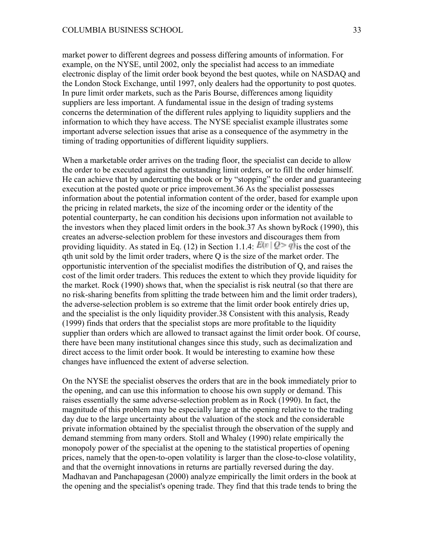market power to different degrees and possess differing amounts of information. For example, on the NYSE, until 2002, only the specialist had access to an immediate electronic display of the limit order book beyond the best quotes, while on NASDAQ and the London Stock Exchange, until 1997, only dealers had the opportunity to post quotes. In pure limit order markets, such as the Paris Bourse, differences among liquidity suppliers are less important. A fundamental issue in the design of trading systems concerns the determination of the different rules applying to liquidity suppliers and the information to which they have access. The NYSE specialist example illustrates some important adverse selection issues that arise as a consequence of the asymmetry in the timing of trading opportunities of different liquidity suppliers.

When a marketable order arrives on the trading floor, the specialist can decide to allow the order to be executed against the outstanding limit orders, or to fill the order himself. He can achieve that by undercutting the book or by "stopping" the order and guaranteeing execution at the posted quote or price improvement.36 As the specialist possesses information about the potential information content of the order, based for example upon the pricing in related markets, the size of the incoming order or the identity of the potential counterparty, he can condition his decisions upon information not available to the investors when they placed limit orders in the book.37 As shown byRock (1990), this creates an adverse-selection problem for these investors and discourages them from providing liquidity. As stated in Eq. (12) in Section 1.1.4:  $E(v \mid Q > q)$  is the cost of the qth unit sold by the limit order traders, where Q is the size of the market order. The opportunistic intervention of the specialist modifies the distribution of Q, and raises the cost of the limit order traders. This reduces the extent to which they provide liquidity for the market. Rock (1990) shows that, when the specialist is risk neutral (so that there are no risk-sharing benefits from splitting the trade between him and the limit order traders), the adverse-selection problem is so extreme that the limit order book entirely dries up, and the specialist is the only liquidity provider.38 Consistent with this analysis, Ready (1999) finds that orders that the specialist stops are more profitable to the liquidity supplier than orders which are allowed to transact against the limit order book. Of course, there have been many institutional changes since this study, such as decimalization and direct access to the limit order book. It would be interesting to examine how these changes have influenced the extent of adverse selection.

On the NYSE the specialist observes the orders that are in the book immediately prior to the opening, and can use this information to choose his own supply or demand. This raises essentially the same adverse-selection problem as in Rock (1990). In fact, the magnitude of this problem may be especially large at the opening relative to the trading day due to the large uncertainty about the valuation of the stock and the considerable private information obtained by the specialist through the observation of the supply and demand stemming from many orders. Stoll and Whaley (1990) relate empirically the monopoly power of the specialist at the opening to the statistical properties of opening prices, namely that the open-to-open volatility is larger than the close-to-close volatility, and that the overnight innovations in returns are partially reversed during the day. Madhavan and Panchapagesan (2000) analyze empirically the limit orders in the book at the opening and the specialist's opening trade. They find that this trade tends to bring the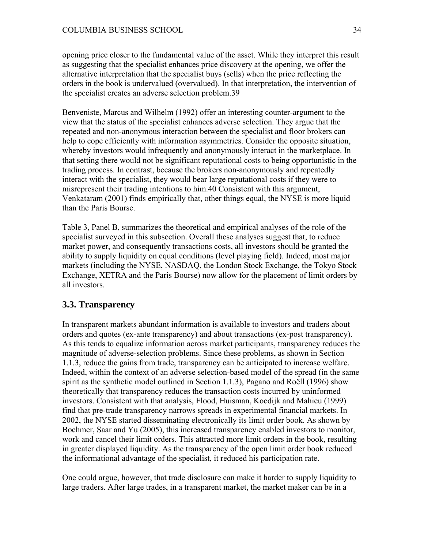opening price closer to the fundamental value of the asset. While they interpret this result as suggesting that the specialist enhances price discovery at the opening, we offer the alternative interpretation that the specialist buys (sells) when the price reflecting the orders in the book is undervalued (overvalued). In that interpretation, the intervention of the specialist creates an adverse selection problem.39

Benveniste, Marcus and Wilhelm (1992) offer an interesting counter-argument to the view that the status of the specialist enhances adverse selection. They argue that the repeated and non-anonymous interaction between the specialist and floor brokers can help to cope efficiently with information asymmetries. Consider the opposite situation, whereby investors would infrequently and anonymously interact in the marketplace. In that setting there would not be significant reputational costs to being opportunistic in the trading process. In contrast, because the brokers non-anonymously and repeatedly interact with the specialist, they would bear large reputational costs if they were to misrepresent their trading intentions to him.40 Consistent with this argument, Venkataram (2001) finds empirically that, other things equal, the NYSE is more liquid than the Paris Bourse.

Table 3, Panel B, summarizes the theoretical and empirical analyses of the role of the specialist surveyed in this subsection. Overall these analyses suggest that, to reduce market power, and consequently transactions costs, all investors should be granted the ability to supply liquidity on equal conditions (level playing field). Indeed, most major markets (including the NYSE, NASDAQ, the London Stock Exchange, the Tokyo Stock Exchange, XETRA and the Paris Bourse) now allow for the placement of limit orders by all investors.

# **3.3. Transparency**

In transparent markets abundant information is available to investors and traders about orders and quotes (ex-ante transparency) and about transactions (ex-post transparency). As this tends to equalize information across market participants, transparency reduces the magnitude of adverse-selection problems. Since these problems, as shown in Section 1.1.3, reduce the gains from trade, transparency can be anticipated to increase welfare. Indeed, within the context of an adverse selection-based model of the spread (in the same spirit as the synthetic model outlined in Section 1.1.3), Pagano and Roëll (1996) show theoretically that transparency reduces the transaction costs incurred by uninformed investors. Consistent with that analysis, Flood, Huisman, Koedijk and Mahieu (1999) find that pre-trade transparency narrows spreads in experimental financial markets. In 2002, the NYSE started disseminating electronically its limit order book. As shown by Boehmer, Saar and Yu (2005), this increased transparency enabled investors to monitor, work and cancel their limit orders. This attracted more limit orders in the book, resulting in greater displayed liquidity. As the transparency of the open limit order book reduced the informational advantage of the specialist, it reduced his participation rate.

One could argue, however, that trade disclosure can make it harder to supply liquidity to large traders. After large trades, in a transparent market, the market maker can be in a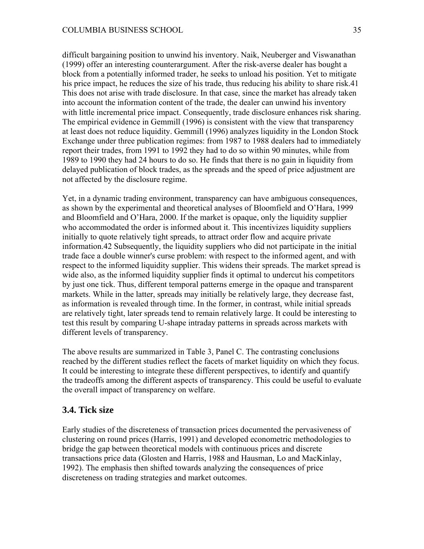difficult bargaining position to unwind his inventory. Naik, Neuberger and Viswanathan (1999) offer an interesting counterargument. After the risk-averse dealer has bought a block from a potentially informed trader, he seeks to unload his position. Yet to mitigate his price impact, he reduces the size of his trade, thus reducing his ability to share risk.41 This does not arise with trade disclosure. In that case, since the market has already taken into account the information content of the trade, the dealer can unwind his inventory with little incremental price impact. Consequently, trade disclosure enhances risk sharing. The empirical evidence in Gemmill (1996) is consistent with the view that transparency at least does not reduce liquidity. Gemmill (1996) analyzes liquidity in the London Stock Exchange under three publication regimes: from 1987 to 1988 dealers had to immediately report their trades, from 1991 to 1992 they had to do so within 90 minutes, while from 1989 to 1990 they had 24 hours to do so. He finds that there is no gain in liquidity from delayed publication of block trades, as the spreads and the speed of price adjustment are not affected by the disclosure regime.

Yet, in a dynamic trading environment, transparency can have ambiguous consequences, as shown by the experimental and theoretical analyses of Bloomfield and O'Hara, 1999 and Bloomfield and O'Hara, 2000. If the market is opaque, only the liquidity supplier who accommodated the order is informed about it. This incentivizes liquidity suppliers initially to quote relatively tight spreads, to attract order flow and acquire private information.42 Subsequently, the liquidity suppliers who did not participate in the initial trade face a double winner's curse problem: with respect to the informed agent, and with respect to the informed liquidity supplier. This widens their spreads. The market spread is wide also, as the informed liquidity supplier finds it optimal to undercut his competitors by just one tick. Thus, different temporal patterns emerge in the opaque and transparent markets. While in the latter, spreads may initially be relatively large, they decrease fast, as information is revealed through time. In the former, in contrast, while initial spreads are relatively tight, later spreads tend to remain relatively large. It could be interesting to test this result by comparing U-shape intraday patterns in spreads across markets with different levels of transparency.

The above results are summarized in Table 3, Panel C. The contrasting conclusions reached by the different studies reflect the facets of market liquidity on which they focus. It could be interesting to integrate these different perspectives, to identify and quantify the tradeoffs among the different aspects of transparency. This could be useful to evaluate the overall impact of transparency on welfare.

# **3.4. Tick size**

Early studies of the discreteness of transaction prices documented the pervasiveness of clustering on round prices (Harris, 1991) and developed econometric methodologies to bridge the gap between theoretical models with continuous prices and discrete transactions price data (Glosten and Harris, 1988 and Hausman, Lo and MacKinlay, 1992). The emphasis then shifted towards analyzing the consequences of price discreteness on trading strategies and market outcomes.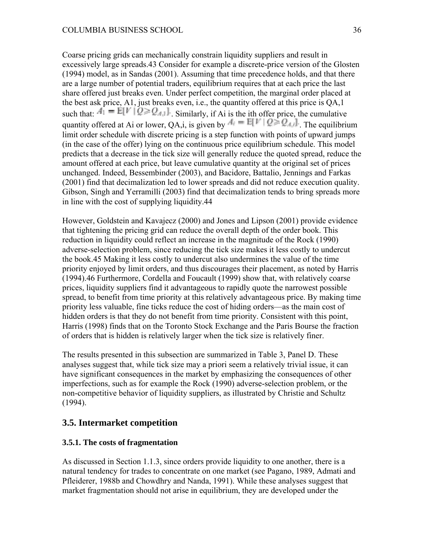Coarse pricing grids can mechanically constrain liquidity suppliers and result in excessively large spreads.43 Consider for example a discrete-price version of the Glosten (1994) model, as in Sandas (2001). Assuming that time precedence holds, and that there are a large number of potential traders, equilibrium requires that at each price the last share offered just breaks even. Under perfect competition, the marginal order placed at the best ask price, A1, just breaks even, i.e., the quantity offered at this price is QA,1 such that:  $A_1 = E[V | Q \ge Q_{A,1}]$ . Similarly, if Ai is the ith offer price, the cumulative quantity offered at Ai or lower, QA,i, is given by  $A_i = E[V | Q \ge Q_{A,i}]$ . The equilibrium limit order schedule with discrete pricing is a step function with points of upward jumps (in the case of the offer) lying on the continuous price equilibrium schedule. This model predicts that a decrease in the tick size will generally reduce the quoted spread, reduce the amount offered at each price, but leave cumulative quantity at the original set of prices unchanged. Indeed, Bessembinder (2003), and Bacidore, Battalio, Jennings and Farkas (2001) find that decimalization led to lower spreads and did not reduce execution quality. Gibson, Singh and Yerramilli (2003) find that decimalization tends to bring spreads more in line with the cost of supplying liquidity.44

However, Goldstein and Kavajecz (2000) and Jones and Lipson (2001) provide evidence that tightening the pricing grid can reduce the overall depth of the order book. This reduction in liquidity could reflect an increase in the magnitude of the Rock (1990) adverse-selection problem, since reducing the tick size makes it less costly to undercut the book.45 Making it less costly to undercut also undermines the value of the time priority enjoyed by limit orders, and thus discourages their placement, as noted by Harris (1994).46 Furthermore, Cordella and Foucault (1999) show that, with relatively coarse prices, liquidity suppliers find it advantageous to rapidly quote the narrowest possible spread, to benefit from time priority at this relatively advantageous price. By making time priority less valuable, fine ticks reduce the cost of hiding orders—as the main cost of hidden orders is that they do not benefit from time priority. Consistent with this point, Harris (1998) finds that on the Toronto Stock Exchange and the Paris Bourse the fraction of orders that is hidden is relatively larger when the tick size is relatively finer.

The results presented in this subsection are summarized in Table 3, Panel D. These analyses suggest that, while tick size may a priori seem a relatively trivial issue, it can have significant consequences in the market by emphasizing the consequences of other imperfections, such as for example the Rock (1990) adverse-selection problem, or the non-competitive behavior of liquidity suppliers, as illustrated by Christie and Schultz (1994).

# **3.5. Intermarket competition**

#### **3.5.1. The costs of fragmentation**

As discussed in Section 1.1.3, since orders provide liquidity to one another, there is a natural tendency for trades to concentrate on one market (see Pagano, 1989, Admati and Pfleiderer, 1988b and Chowdhry and Nanda, 1991). While these analyses suggest that market fragmentation should not arise in equilibrium, they are developed under the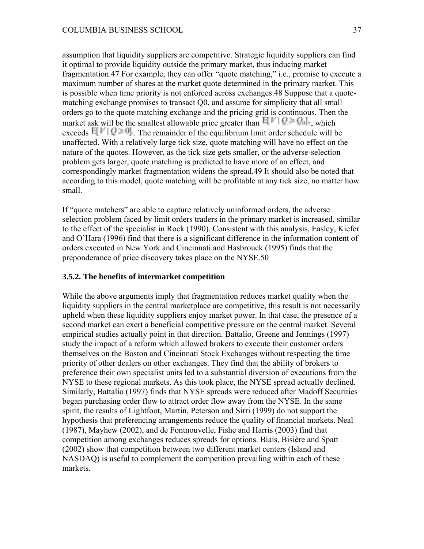assumption that liquidity suppliers are competitive. Strategic liquidity suppliers can find it optimal to provide liquidity outside the primary market, thus inducing market fragmentation.47 For example, they can offer "quote matching," i.e., promise to execute a maximum number of shares at the market quote determined in the primary market. This is possible when time priority is not enforced across exchanges.48 Suppose that a quotematching exchange promises to transact Q0, and assume for simplicity that all small orders go to the quote matching exchange and the pricing grid is continuous. Then the market ask will be the smallest allowable price greater than  $\mathbb{E}[V | Q \geq Q_0]$ , which exceeds  $E[V | Q \ge 0]$ . The remainder of the equilibrium limit order schedule will be unaffected. With a relatively large tick size, quote matching will have no effect on the nature of the quotes. However, as the tick size gets smaller, or the adverse-selection problem gets larger, quote matching is predicted to have more of an effect, and correspondingly market fragmentation widens the spread.49 It should also be noted that according to this model, quote matching will be profitable at any tick size, no matter how small.

If "quote matchers" are able to capture relatively uninformed orders, the adverse selection problem faced by limit orders traders in the primary market is increased, similar to the effect of the specialist in Rock (1990). Consistent with this analysis, Easley, Kiefer and O'Hara (1996) find that there is a significant difference in the information content of orders executed in New York and Cincinnati and Hasbrouck (1995) finds that the preponderance of price discovery takes place on the NYSE.50

#### **3.5.2. The benefits of intermarket competition**

While the above arguments imply that fragmentation reduces market quality when the liquidity suppliers in the central marketplace are competitive, this result is not necessarily upheld when these liquidity suppliers enjoy market power. In that case, the presence of a second market can exert a beneficial competitive pressure on the central market. Several empirical studies actually point in that direction. Battalio, Greene and Jennings (1997) study the impact of a reform which allowed brokers to execute their customer orders themselves on the Boston and Cincinnati Stock Exchanges without respecting the time priority of other dealers on other exchanges. They find that the ability of brokers to preference their own specialist units led to a substantial diversion of executions from the NYSE to these regional markets. As this took place, the NYSE spread actually declined. Similarly, Battalio (1997) finds that NYSE spreads were reduced after Madoff Securities began purchasing order flow to attract order flow away from the NYSE. In the same spirit, the results of Lightfoot, Martin, Peterson and Sirri (1999) do not support the hypothesis that preferencing arrangements reduce the quality of financial markets. Neal (1987), Mayhew (2002), and de Fontnouvelle, Fishe and Harris (2003) find that competition among exchanges reduces spreads for options. Biais, Bisière and Spatt (2002) show that competition between two different market centers (Island and NASDAQ) is useful to complement the competition prevailing within each of these markets.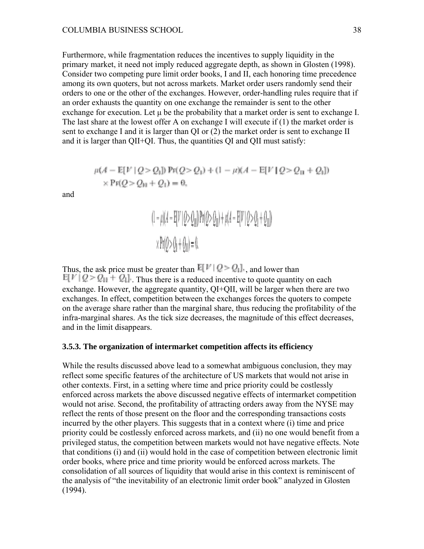Furthermore, while fragmentation reduces the incentives to supply liquidity in the primary market, it need not imply reduced aggregate depth, as shown in Glosten (1998). Consider two competing pure limit order books, I and II, each honoring time precedence among its own quoters, but not across markets. Market order users randomly send their orders to one or the other of the exchanges. However, order-handling rules require that if an order exhausts the quantity on one exchange the remainder is sent to the other exchange for execution. Let  $\mu$  be the probability that a market order is sent to exchange I. The last share at the lowest offer A on exchange I will execute if (1) the market order is sent to exchange I and it is larger than QI or (2) the market order is sent to exchange II and it is larger than QII+QI. Thus, the quantities QI and QII must satisfy:

$$
\mu(A - E[V | Q > Q_1]) Pr(Q > Q_1) + (1 - \mu)(A - E[V | Q > Q_{11} + Q_1])
$$
  
× Pr(Q > Q<sub>11</sub> + Q<sub>1</sub>) = 0,

and

$$
(1 - \mu)(A - E[V | Q > Q_{\text{II}}])\Pr(Q > Q_{\text{II}}) + \mu(A - E[V | Q > Q_{\text{I}} + Q_{\text{II}}])
$$
  
×  $\Pr(Q > Q_{\text{I}} + Q_{\text{II}}) = 0$ .

Thus, the ask price must be greater than  $E[V|Q > Q_1]$ , and lower than  $E[V|Q > Q_{\text{II}} + Q_{\text{II}}]$ . Thus there is a reduced incentive to quote quantity on each exchange. However, the aggregate quantity, QI+QII, will be larger when there are two exchanges. In effect, competition between the exchanges forces the quoters to compete on the average share rather than the marginal share, thus reducing the profitability of the infra-marginal shares. As the tick size decreases, the magnitude of this effect decreases, and in the limit disappears.

#### **3.5.3. The organization of intermarket competition affects its efficiency**

While the results discussed above lead to a somewhat ambiguous conclusion, they may reflect some specific features of the architecture of US markets that would not arise in other contexts. First, in a setting where time and price priority could be costlessly enforced across markets the above discussed negative effects of intermarket competition would not arise. Second, the profitability of attracting orders away from the NYSE may reflect the rents of those present on the floor and the corresponding transactions costs incurred by the other players. This suggests that in a context where (i) time and price priority could be costlessly enforced across markets, and (ii) no one would benefit from a privileged status, the competition between markets would not have negative effects. Note that conditions (i) and (ii) would hold in the case of competition between electronic limit order books, where price and time priority would be enforced across markets. The consolidation of all sources of liquidity that would arise in this context is reminiscent of the analysis of "the inevitability of an electronic limit order book" analyzed in Glosten (1994).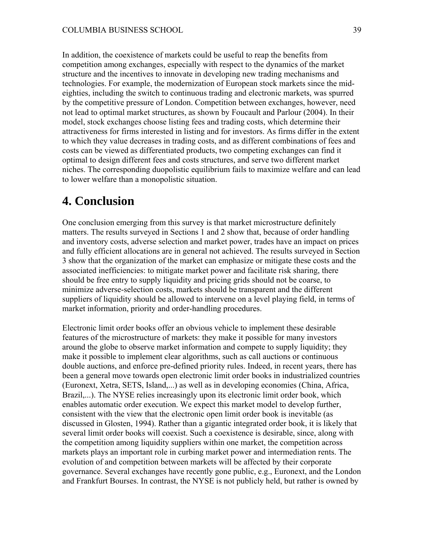In addition, the coexistence of markets could be useful to reap the benefits from competition among exchanges, especially with respect to the dynamics of the market structure and the incentives to innovate in developing new trading mechanisms and technologies. For example, the modernization of European stock markets since the mideighties, including the switch to continuous trading and electronic markets, was spurred by the competitive pressure of London. Competition between exchanges, however, need not lead to optimal market structures, as shown by Foucault and Parlour (2004). In their model, stock exchanges choose listing fees and trading costs, which determine their attractiveness for firms interested in listing and for investors. As firms differ in the extent to which they value decreases in trading costs, and as different combinations of fees and costs can be viewed as differentiated products, two competing exchanges can find it optimal to design different fees and costs structures, and serve two different market niches. The corresponding duopolistic equilibrium fails to maximize welfare and can lead to lower welfare than a monopolistic situation.

# **4. Conclusion**

One conclusion emerging from this survey is that market microstructure definitely matters. The results surveyed in Sections 1 and 2 show that, because of order handling and inventory costs, adverse selection and market power, trades have an impact on prices and fully efficient allocations are in general not achieved. The results surveyed in Section 3 show that the organization of the market can emphasize or mitigate these costs and the associated inefficiencies: to mitigate market power and facilitate risk sharing, there should be free entry to supply liquidity and pricing grids should not be coarse, to minimize adverse-selection costs, markets should be transparent and the different suppliers of liquidity should be allowed to intervene on a level playing field, in terms of market information, priority and order-handling procedures.

Electronic limit order books offer an obvious vehicle to implement these desirable features of the microstructure of markets: they make it possible for many investors around the globe to observe market information and compete to supply liquidity; they make it possible to implement clear algorithms, such as call auctions or continuous double auctions, and enforce pre-defined priority rules. Indeed, in recent years, there has been a general move towards open electronic limit order books in industrialized countries (Euronext, Xetra, SETS, Island,...) as well as in developing economies (China, Africa, Brazil,...). The NYSE relies increasingly upon its electronic limit order book, which enables automatic order execution. We expect this market model to develop further, consistent with the view that the electronic open limit order book is inevitable (as discussed in Glosten, 1994). Rather than a gigantic integrated order book, it is likely that several limit order books will coexist. Such a coexistence is desirable, since, along with the competition among liquidity suppliers within one market, the competition across markets plays an important role in curbing market power and intermediation rents. The evolution of and competition between markets will be affected by their corporate governance. Several exchanges have recently gone public, e.g., Euronext, and the London and Frankfurt Bourses. In contrast, the NYSE is not publicly held, but rather is owned by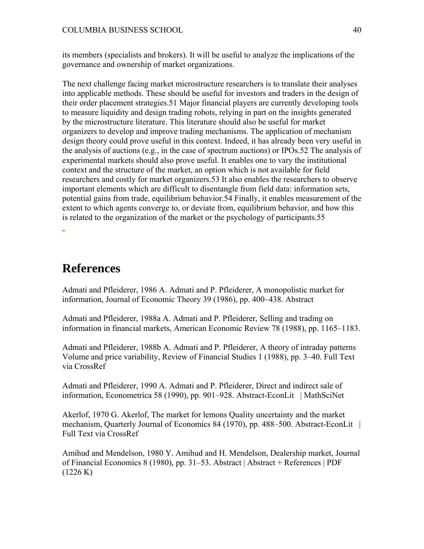its members (specialists and brokers). It will be useful to analyze the implications of the governance and ownership of market organizations.

The next challenge facing market microstructure researchers is to translate their analyses into applicable methods. These should be useful for investors and traders in the design of their order placement strategies.51 Major financial players are currently developing tools to measure liquidity and design trading robots, relying in part on the insights generated by the microstructure literature. This literature should also be useful for market organizers to develop and improve trading mechanisms. The application of mechanism design theory could prove useful in this context. Indeed, it has already been very useful in the analysis of auctions (e.g., in the case of spectrum auctions) or IPOs.52 The analysis of experimental markets should also prove useful. It enables one to vary the institutional context and the structure of the market, an option which is not available for field researchers and costly for market organizers.53 It also enables the researchers to observe important elements which are difficult to disentangle from field data: information sets, potential gains from trade, equilibrium behavior.54 Finally, it enables measurement of the extent to which agents converge to, or deviate from, equilibrium behavior, and how this is related to the organization of the market or the psychology of participants.55

**References** 

Admati and Pfleiderer, 1986 A. Admati and P. Pfleiderer, A monopolistic market for information, Journal of Economic Theory 39 (1986), pp. 400–438. Abstract

Admati and Pfleiderer, 1988a A. Admati and P. Pfleiderer, Selling and trading on information in financial markets, American Economic Review 78 (1988), pp. 1165–1183.

Admati and Pfleiderer, 1988b A. Admati and P. Pfleiderer, A theory of intraday patterns Volume and price variability, Review of Financial Studies 1 (1988), pp. 3–40. Full Text via CrossRef

Admati and Pfleiderer, 1990 A. Admati and P. Pfleiderer, Direct and indirect sale of information, Econometrica 58 (1990), pp. 901–928. Abstract-EconLit | MathSciNet

Akerlof, 1970 G. Akerlof, The market for lemons Quality uncertainty and the market mechanism, Quarterly Journal of Economics 84 (1970), pp. 488–500. Abstract-EconLit | Full Text via CrossRef

Amihud and Mendelson, 1980 Y. Amihud and H. Mendelson, Dealership market, Journal of Financial Economics 8 (1980), pp. 31–53. Abstract | Abstract + References | PDF  $(1226 K)$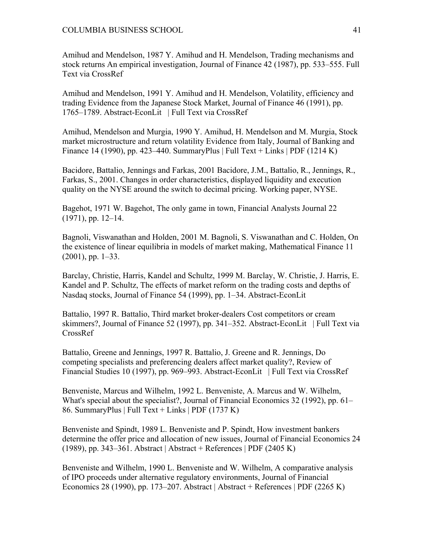Amihud and Mendelson, 1987 Y. Amihud and H. Mendelson, Trading mechanisms and stock returns An empirical investigation, Journal of Finance 42 (1987), pp. 533–555. Full Text via CrossRef

Amihud and Mendelson, 1991 Y. Amihud and H. Mendelson, Volatility, efficiency and trading Evidence from the Japanese Stock Market, Journal of Finance 46 (1991), pp. 1765–1789. Abstract-EconLit | Full Text via CrossRef

Amihud, Mendelson and Murgia, 1990 Y. Amihud, H. Mendelson and M. Murgia, Stock market microstructure and return volatility Evidence from Italy, Journal of Banking and Finance 14 (1990), pp. 423–440. SummaryPlus | Full Text + Links | PDF (1214 K)

Bacidore, Battalio, Jennings and Farkas, 2001 Bacidore, J.M., Battalio, R., Jennings, R., Farkas, S., 2001. Changes in order characteristics, displayed liquidity and execution quality on the NYSE around the switch to decimal pricing. Working paper, NYSE.

Bagehot, 1971 W. Bagehot, The only game in town, Financial Analysts Journal 22 (1971), pp. 12–14.

Bagnoli, Viswanathan and Holden, 2001 M. Bagnoli, S. Viswanathan and C. Holden, On the existence of linear equilibria in models of market making, Mathematical Finance 11  $(2001)$ , pp.  $1-33$ .

Barclay, Christie, Harris, Kandel and Schultz, 1999 M. Barclay, W. Christie, J. Harris, E. Kandel and P. Schultz, The effects of market reform on the trading costs and depths of Nasdaq stocks, Journal of Finance 54 (1999), pp. 1–34. Abstract-EconLit

Battalio, 1997 R. Battalio, Third market broker-dealers Cost competitors or cream skimmers?, Journal of Finance 52 (1997), pp. 341–352. Abstract-EconLit | Full Text via CrossRef

Battalio, Greene and Jennings, 1997 R. Battalio, J. Greene and R. Jennings, Do competing specialists and preferencing dealers affect market quality?, Review of Financial Studies 10 (1997), pp. 969–993. Abstract-EconLit | Full Text via CrossRef

Benveniste, Marcus and Wilhelm, 1992 L. Benveniste, A. Marcus and W. Wilhelm, What's special about the specialist?, Journal of Financial Economics 32 (1992), pp. 61– 86. SummaryPlus | Full Text + Links | PDF (1737 K)

Benveniste and Spindt, 1989 L. Benveniste and P. Spindt, How investment bankers determine the offer price and allocation of new issues, Journal of Financial Economics 24 (1989), pp. 343–361. Abstract | Abstract + References | PDF (2405 K)

Benveniste and Wilhelm, 1990 L. Benveniste and W. Wilhelm, A comparative analysis of IPO proceeds under alternative regulatory environments, Journal of Financial Economics 28 (1990), pp. 173–207. Abstract | Abstract + References | PDF (2265 K)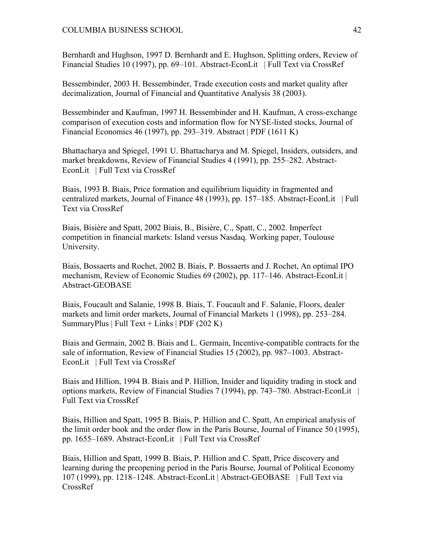Bernhardt and Hughson, 1997 D. Bernhardt and E. Hughson, Splitting orders, Review of Financial Studies 10 (1997), pp. 69–101. Abstract-EconLit | Full Text via CrossRef

Bessembinder, 2003 H. Bessembinder, Trade execution costs and market quality after decimalization, Journal of Financial and Quantitative Analysis 38 (2003).

Bessembinder and Kaufman, 1997 H. Bessembinder and H. Kaufman, A cross-exchange comparison of execution costs and information flow for NYSE-listed stocks, Journal of Financial Economics 46 (1997), pp. 293–319. Abstract | PDF (1611 K)

Bhattacharya and Spiegel, 1991 U. Bhattacharya and M. Spiegel, Insiders, outsiders, and market breakdowns, Review of Financial Studies 4 (1991), pp. 255–282. Abstract-EconLit | Full Text via CrossRef

Biais, 1993 B. Biais, Price formation and equilibrium liquidity in fragmented and centralized markets, Journal of Finance 48 (1993), pp. 157–185. Abstract-EconLit | Full Text via CrossRef

Biais, Bisière and Spatt, 2002 Biais, B., Bisière, C., Spatt, C., 2002. Imperfect competition in financial markets: Island versus Nasdaq. Working paper, Toulouse University.

Biais, Bossaerts and Rochet, 2002 B. Biais, P. Bossaerts and J. Rochet, An optimal IPO mechanism, Review of Economic Studies 69 (2002), pp. 117–146. Abstract-EconLit | Abstract-GEOBASE

Biais, Foucault and Salanie, 1998 B. Biais, T. Foucault and F. Salanie, Floors, dealer markets and limit order markets, Journal of Financial Markets 1 (1998), pp. 253–284. SummaryPlus | Full Text + Links | PDF (202 K)

Biais and Germain, 2002 B. Biais and L. Germain, Incentive-compatible contracts for the sale of information, Review of Financial Studies 15 (2002), pp. 987–1003. Abstract-EconLit | Full Text via CrossRef

Biais and Hillion, 1994 B. Biais and P. Hillion, Insider and liquidity trading in stock and options markets, Review of Financial Studies 7 (1994), pp. 743–780. Abstract-EconLit | Full Text via CrossRef

Biais, Hillion and Spatt, 1995 B. Biais, P. Hillion and C. Spatt, An empirical analysis of the limit order book and the order flow in the Paris Bourse, Journal of Finance 50 (1995), pp. 1655–1689. Abstract-EconLit | Full Text via CrossRef

Biais, Hillion and Spatt, 1999 B. Biais, P. Hillion and C. Spatt, Price discovery and learning during the preopening period in the Paris Bourse, Journal of Political Economy 107 (1999), pp. 1218–1248. Abstract-EconLit | Abstract-GEOBASE | Full Text via CrossRef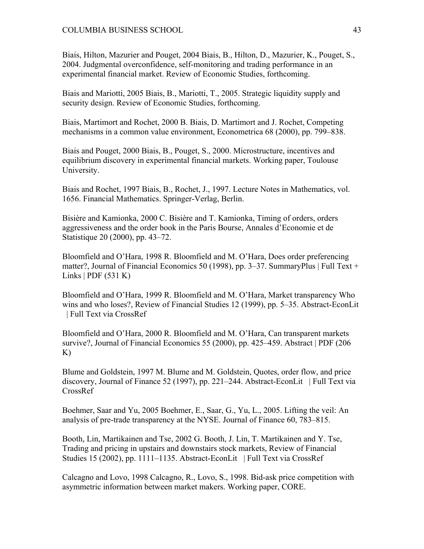Biais, Hilton, Mazurier and Pouget, 2004 Biais, B., Hilton, D., Mazurier, K., Pouget, S., 2004. Judgmental overconfidence, self-monitoring and trading performance in an experimental financial market. Review of Economic Studies, forthcoming.

Biais and Mariotti, 2005 Biais, B., Mariotti, T., 2005. Strategic liquidity supply and security design. Review of Economic Studies, forthcoming.

Biais, Martimort and Rochet, 2000 B. Biais, D. Martimort and J. Rochet, Competing mechanisms in a common value environment, Econometrica 68 (2000), pp. 799–838.

Biais and Pouget, 2000 Biais, B., Pouget, S., 2000. Microstructure, incentives and equilibrium discovery in experimental financial markets. Working paper, Toulouse University.

Biais and Rochet, 1997 Biais, B., Rochet, J., 1997. Lecture Notes in Mathematics, vol. 1656. Financial Mathematics. Springer-Verlag, Berlin.

Bisière and Kamionka, 2000 C. Bisière and T. Kamionka, Timing of orders, orders aggressiveness and the order book in the Paris Bourse, Annales d'Economie et de Statistique 20 (2000), pp. 43–72.

Bloomfield and O'Hara, 1998 R. Bloomfield and M. O'Hara, Does order preferencing matter?, Journal of Financial Economics 50 (1998), pp. 3–37. SummaryPlus | Full Text + Links | PDF  $(531 K)$ 

Bloomfield and O'Hara, 1999 R. Bloomfield and M. O'Hara, Market transparency Who wins and who loses?, Review of Financial Studies 12 (1999), pp. 5–35. Abstract-EconLit | Full Text via CrossRef

Bloomfield and O'Hara, 2000 R. Bloomfield and M. O'Hara, Can transparent markets survive?, Journal of Financial Economics 55 (2000), pp. 425–459. Abstract | PDF (206 K)

Blume and Goldstein, 1997 M. Blume and M. Goldstein, Quotes, order flow, and price discovery, Journal of Finance 52 (1997), pp. 221–244. Abstract-EconLit | Full Text via CrossRef

Boehmer, Saar and Yu, 2005 Boehmer, E., Saar, G., Yu, L., 2005. Lifting the veil: An analysis of pre-trade transparency at the NYSE. Journal of Finance 60, 783–815.

Booth, Lin, Martikainen and Tse, 2002 G. Booth, J. Lin, T. Martikainen and Y. Tse, Trading and pricing in upstairs and downstairs stock markets, Review of Financial Studies 15 (2002), pp. 1111–1135. Abstract-EconLit | Full Text via CrossRef

Calcagno and Lovo, 1998 Calcagno, R., Lovo, S., 1998. Bid-ask price competition with asymmetric information between market makers. Working paper, CORE.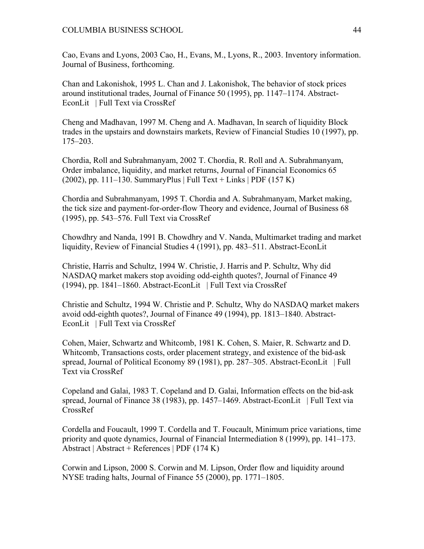Cao, Evans and Lyons, 2003 Cao, H., Evans, M., Lyons, R., 2003. Inventory information. Journal of Business, forthcoming.

Chan and Lakonishok, 1995 L. Chan and J. Lakonishok, The behavior of stock prices around institutional trades, Journal of Finance 50 (1995), pp. 1147–1174. Abstract-EconLit | Full Text via CrossRef

Cheng and Madhavan, 1997 M. Cheng and A. Madhavan, In search of liquidity Block trades in the upstairs and downstairs markets, Review of Financial Studies 10 (1997), pp. 175–203.

Chordia, Roll and Subrahmanyam, 2002 T. Chordia, R. Roll and A. Subrahmanyam, Order imbalance, liquidity, and market returns, Journal of Financial Economics 65 (2002), pp. 111–130. SummaryPlus | Full Text + Links | PDF (157 K)

Chordia and Subrahmanyam, 1995 T. Chordia and A. Subrahmanyam, Market making, the tick size and payment-for-order-flow Theory and evidence, Journal of Business 68 (1995), pp. 543–576. Full Text via CrossRef

Chowdhry and Nanda, 1991 B. Chowdhry and V. Nanda, Multimarket trading and market liquidity, Review of Financial Studies 4 (1991), pp. 483–511. Abstract-EconLit

Christie, Harris and Schultz, 1994 W. Christie, J. Harris and P. Schultz, Why did NASDAQ market makers stop avoiding odd-eighth quotes?, Journal of Finance 49 (1994), pp. 1841–1860. Abstract-EconLit | Full Text via CrossRef

Christie and Schultz, 1994 W. Christie and P. Schultz, Why do NASDAQ market makers avoid odd-eighth quotes?, Journal of Finance 49 (1994), pp. 1813–1840. Abstract-EconLit | Full Text via CrossRef

Cohen, Maier, Schwartz and Whitcomb, 1981 K. Cohen, S. Maier, R. Schwartz and D. Whitcomb, Transactions costs, order placement strategy, and existence of the bid-ask spread, Journal of Political Economy 89 (1981), pp. 287–305. Abstract-EconLit | Full Text via CrossRef

Copeland and Galai, 1983 T. Copeland and D. Galai, Information effects on the bid-ask spread, Journal of Finance 38 (1983), pp. 1457–1469. Abstract-EconLit | Full Text via CrossRef

Cordella and Foucault, 1999 T. Cordella and T. Foucault, Minimum price variations, time priority and quote dynamics, Journal of Financial Intermediation 8 (1999), pp. 141–173. Abstract | Abstract + References | PDF (174 K)

Corwin and Lipson, 2000 S. Corwin and M. Lipson, Order flow and liquidity around NYSE trading halts, Journal of Finance 55 (2000), pp. 1771–1805.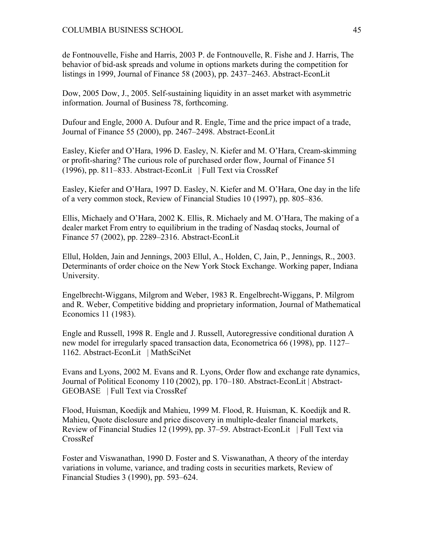de Fontnouvelle, Fishe and Harris, 2003 P. de Fontnouvelle, R. Fishe and J. Harris, The behavior of bid-ask spreads and volume in options markets during the competition for listings in 1999, Journal of Finance 58 (2003), pp. 2437–2463. Abstract-EconLit

Dow, 2005 Dow, J., 2005. Self-sustaining liquidity in an asset market with asymmetric information. Journal of Business 78, forthcoming.

Dufour and Engle, 2000 A. Dufour and R. Engle, Time and the price impact of a trade, Journal of Finance 55 (2000), pp. 2467–2498. Abstract-EconLit

Easley, Kiefer and O'Hara, 1996 D. Easley, N. Kiefer and M. O'Hara, Cream-skimming or profit-sharing? The curious role of purchased order flow, Journal of Finance 51 (1996), pp. 811–833. Abstract-EconLit | Full Text via CrossRef

Easley, Kiefer and O'Hara, 1997 D. Easley, N. Kiefer and M. O'Hara, One day in the life of a very common stock, Review of Financial Studies 10 (1997), pp. 805–836.

Ellis, Michaely and O'Hara, 2002 K. Ellis, R. Michaely and M. O'Hara, The making of a dealer market From entry to equilibrium in the trading of Nasdaq stocks, Journal of Finance 57 (2002), pp. 2289–2316. Abstract-EconLit

Ellul, Holden, Jain and Jennings, 2003 Ellul, A., Holden, C, Jain, P., Jennings, R., 2003. Determinants of order choice on the New York Stock Exchange. Working paper, Indiana University.

Engelbrecht-Wiggans, Milgrom and Weber, 1983 R. Engelbrecht-Wiggans, P. Milgrom and R. Weber, Competitive bidding and proprietary information, Journal of Mathematical Economics 11 (1983).

Engle and Russell, 1998 R. Engle and J. Russell, Autoregressive conditional duration A new model for irregularly spaced transaction data, Econometrica 66 (1998), pp. 1127– 1162. Abstract-EconLit | MathSciNet

Evans and Lyons, 2002 M. Evans and R. Lyons, Order flow and exchange rate dynamics, Journal of Political Economy 110 (2002), pp. 170–180. Abstract-EconLit | Abstract-GEOBASE | Full Text via CrossRef

Flood, Huisman, Koedijk and Mahieu, 1999 M. Flood, R. Huisman, K. Koedijk and R. Mahieu, Quote disclosure and price discovery in multiple-dealer financial markets, Review of Financial Studies 12 (1999), pp. 37–59. Abstract-EconLit | Full Text via CrossRef

Foster and Viswanathan, 1990 D. Foster and S. Viswanathan, A theory of the interday variations in volume, variance, and trading costs in securities markets, Review of Financial Studies 3 (1990), pp. 593–624.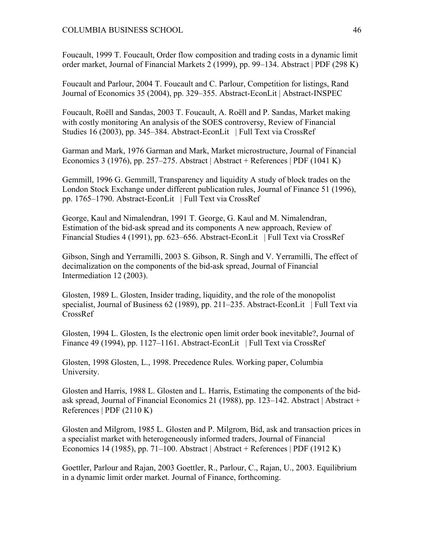Foucault, 1999 T. Foucault, Order flow composition and trading costs in a dynamic limit order market, Journal of Financial Markets 2 (1999), pp. 99–134. Abstract | PDF (298 K)

Foucault and Parlour, 2004 T. Foucault and C. Parlour, Competition for listings, Rand Journal of Economics 35 (2004), pp. 329–355. Abstract-EconLit | Abstract-INSPEC

Foucault, Roëll and Sandas, 2003 T. Foucault, A. Roëll and P. Sandas, Market making with costly monitoring An analysis of the SOES controversy, Review of Financial Studies 16 (2003), pp. 345–384. Abstract-EconLit | Full Text via CrossRef

Garman and Mark, 1976 Garman and Mark, Market microstructure, Journal of Financial Economics 3 (1976), pp. 257–275. Abstract | Abstract + References | PDF (1041 K)

Gemmill, 1996 G. Gemmill, Transparency and liquidity A study of block trades on the London Stock Exchange under different publication rules, Journal of Finance 51 (1996), pp. 1765–1790. Abstract-EconLit | Full Text via CrossRef

George, Kaul and Nimalendran, 1991 T. George, G. Kaul and M. Nimalendran, Estimation of the bid-ask spread and its components A new approach, Review of Financial Studies 4 (1991), pp. 623–656. Abstract-EconLit | Full Text via CrossRef

Gibson, Singh and Yerramilli, 2003 S. Gibson, R. Singh and V. Yerramilli, The effect of decimalization on the components of the bid-ask spread, Journal of Financial Intermediation 12 (2003).

Glosten, 1989 L. Glosten, Insider trading, liquidity, and the role of the monopolist specialist, Journal of Business 62 (1989), pp. 211–235. Abstract-EconLit | Full Text via CrossRef

Glosten, 1994 L. Glosten, Is the electronic open limit order book inevitable?, Journal of Finance 49 (1994), pp. 1127–1161. Abstract-EconLit | Full Text via CrossRef

Glosten, 1998 Glosten, L., 1998. Precedence Rules. Working paper, Columbia University.

Glosten and Harris, 1988 L. Glosten and L. Harris, Estimating the components of the bidask spread, Journal of Financial Economics 21 (1988), pp. 123–142. Abstract | Abstract + References | PDF (2110 K)

Glosten and Milgrom, 1985 L. Glosten and P. Milgrom, Bid, ask and transaction prices in a specialist market with heterogeneously informed traders, Journal of Financial Economics 14 (1985), pp. 71–100. Abstract | Abstract + References | PDF (1912 K)

Goettler, Parlour and Rajan, 2003 Goettler, R., Parlour, C., Rajan, U., 2003. Equilibrium in a dynamic limit order market. Journal of Finance, forthcoming.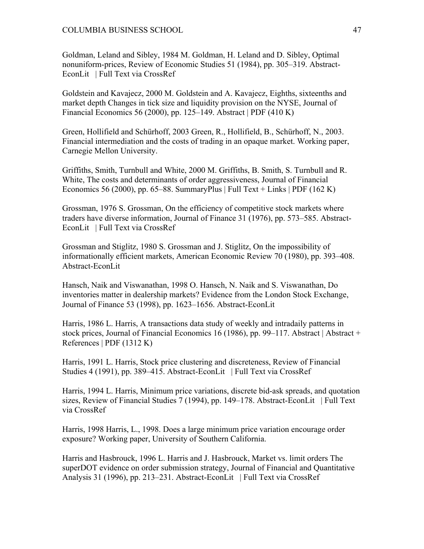Goldman, Leland and Sibley, 1984 M. Goldman, H. Leland and D. Sibley, Optimal nonuniform-prices, Review of Economic Studies 51 (1984), pp. 305–319. Abstract-EconLit | Full Text via CrossRef

Goldstein and Kavajecz, 2000 M. Goldstein and A. Kavajecz, Eighths, sixteenths and market depth Changes in tick size and liquidity provision on the NYSE, Journal of Financial Economics 56 (2000), pp. 125–149. Abstract | PDF (410 K)

Green, Hollifield and Schürhoff, 2003 Green, R., Hollifield, B., Schürhoff, N., 2003. Financial intermediation and the costs of trading in an opaque market. Working paper, Carnegie Mellon University.

Griffiths, Smith, Turnbull and White, 2000 M. Griffiths, B. Smith, S. Turnbull and R. White, The costs and determinants of order aggressiveness, Journal of Financial Economics 56 (2000), pp. 65–88. SummaryPlus | Full Text + Links | PDF (162 K)

Grossman, 1976 S. Grossman, On the efficiency of competitive stock markets where traders have diverse information, Journal of Finance 31 (1976), pp. 573–585. Abstract-EconLit | Full Text via CrossRef

Grossman and Stiglitz, 1980 S. Grossman and J. Stiglitz, On the impossibility of informationally efficient markets, American Economic Review 70 (1980), pp. 393–408. Abstract-EconLit

Hansch, Naik and Viswanathan, 1998 O. Hansch, N. Naik and S. Viswanathan, Do inventories matter in dealership markets? Evidence from the London Stock Exchange, Journal of Finance 53 (1998), pp. 1623–1656. Abstract-EconLit

Harris, 1986 L. Harris, A transactions data study of weekly and intradaily patterns in stock prices, Journal of Financial Economics 16 (1986), pp. 99–117. Abstract | Abstract + References | PDF (1312 K)

Harris, 1991 L. Harris, Stock price clustering and discreteness, Review of Financial Studies 4 (1991), pp. 389–415. Abstract-EconLit | Full Text via CrossRef

Harris, 1994 L. Harris, Minimum price variations, discrete bid-ask spreads, and quotation sizes, Review of Financial Studies 7 (1994), pp. 149–178. Abstract-EconLit | Full Text via CrossRef

Harris, 1998 Harris, L., 1998. Does a large minimum price variation encourage order exposure? Working paper, University of Southern California.

Harris and Hasbrouck, 1996 L. Harris and J. Hasbrouck, Market vs. limit orders The superDOT evidence on order submission strategy, Journal of Financial and Quantitative Analysis 31 (1996), pp. 213–231. Abstract-EconLit | Full Text via CrossRef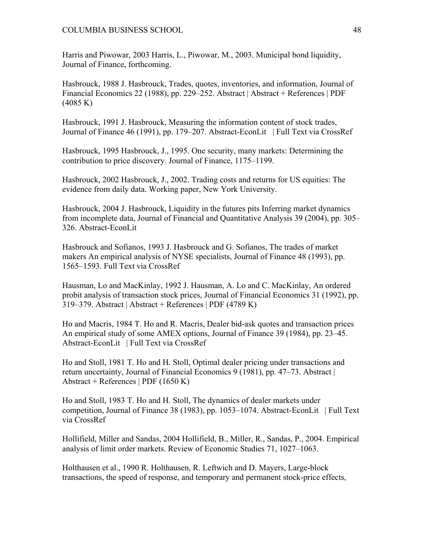Harris and Piwowar, 2003 Harris, L., Piwowar, M., 2003. Municipal bond liquidity, Journal of Finance, forthcoming.

Hasbrouck, 1988 J. Hasbrouck, Trades, quotes, inventories, and information, Journal of Financial Economics 22 (1988), pp. 229–252. Abstract | Abstract + References | PDF  $(4085 K)$ 

Hasbrouck, 1991 J. Hasbrouck, Measuring the information content of stock trades, Journal of Finance 46 (1991), pp. 179–207. Abstract-EconLit | Full Text via CrossRef

Hasbrouck, 1995 Hasbrouck, J., 1995. One security, many markets: Determining the contribution to price discovery. Journal of Finance, 1175–1199.

Hasbrouck, 2002 Hasbrouck, J., 2002. Trading costs and returns for US equities: The evidence from daily data. Working paper, New York University.

Hasbrouck, 2004 J. Hasbrouck, Liquidity in the futures pits Inferring market dynamics from incomplete data, Journal of Financial and Quantitative Analysis 39 (2004), pp. 305– 326. Abstract-EconLit

Hasbrouck and Sofianos, 1993 J. Hasbrouck and G. Sofianos, The trades of market makers An empirical analysis of NYSE specialists, Journal of Finance 48 (1993), pp. 1565–1593. Full Text via CrossRef

Hausman, Lo and MacKinlay, 1992 J. Hausman, A. Lo and C. MacKinlay, An ordered probit analysis of transaction stock prices, Journal of Financial Economics 31 (1992), pp. 319–379. Abstract | Abstract + References | PDF (4789 K)

Ho and Macris, 1984 T. Ho and R. Macris, Dealer bid-ask quotes and transaction prices An empirical study of some AMEX options, Journal of Finance 39 (1984), pp. 23–45. Abstract-EconLit | Full Text via CrossRef

Ho and Stoll, 1981 T. Ho and H. Stoll, Optimal dealer pricing under transactions and return uncertainty, Journal of Financial Economics 9 (1981), pp. 47–73. Abstract | Abstract + References | PDF (1650 K)

Ho and Stoll, 1983 T. Ho and H. Stoll, The dynamics of dealer markets under competition, Journal of Finance 38 (1983), pp. 1053–1074. Abstract-EconLit | Full Text via CrossRef

Hollifield, Miller and Sandas, 2004 Hollifield, B., Miller, R., Sandas, P., 2004. Empirical analysis of limit order markets. Review of Economic Studies 71, 1027–1063.

Holthausen et al., 1990 R. Holthausen, R. Leftwich and D. Mayers, Large-block transactions, the speed of response, and temporary and permanent stock-price effects,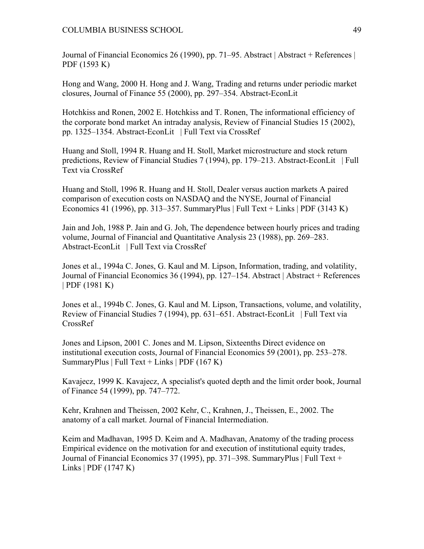Journal of Financial Economics 26 (1990), pp. 71–95. Abstract | Abstract + References | PDF (1593 K)

Hong and Wang, 2000 H. Hong and J. Wang, Trading and returns under periodic market closures, Journal of Finance 55 (2000), pp. 297–354. Abstract-EconLit

Hotchkiss and Ronen, 2002 E. Hotchkiss and T. Ronen, The informational efficiency of the corporate bond market An intraday analysis, Review of Financial Studies 15 (2002), pp. 1325–1354. Abstract-EconLit | Full Text via CrossRef

Huang and Stoll, 1994 R. Huang and H. Stoll, Market microstructure and stock return predictions, Review of Financial Studies 7 (1994), pp. 179–213. Abstract-EconLit | Full Text via CrossRef

Huang and Stoll, 1996 R. Huang and H. Stoll, Dealer versus auction markets A paired comparison of execution costs on NASDAQ and the NYSE, Journal of Financial Economics 41 (1996), pp. 313–357. SummaryPlus | Full Text + Links | PDF (3143 K)

Jain and Joh, 1988 P. Jain and G. Joh, The dependence between hourly prices and trading volume, Journal of Financial and Quantitative Analysis 23 (1988), pp. 269–283. Abstract-EconLit | Full Text via CrossRef

Jones et al., 1994a C. Jones, G. Kaul and M. Lipson, Information, trading, and volatility, Journal of Financial Economics 36 (1994), pp. 127–154. Abstract | Abstract + References | PDF (1981 K)

Jones et al., 1994b C. Jones, G. Kaul and M. Lipson, Transactions, volume, and volatility, Review of Financial Studies 7 (1994), pp. 631–651. Abstract-EconLit | Full Text via CrossRef

Jones and Lipson, 2001 C. Jones and M. Lipson, Sixteenths Direct evidence on institutional execution costs, Journal of Financial Economics 59 (2001), pp. 253–278. SummaryPlus | Full Text + Links | PDF  $(167 K)$ 

Kavajecz, 1999 K. Kavajecz, A specialist's quoted depth and the limit order book, Journal of Finance 54 (1999), pp. 747–772.

Kehr, Krahnen and Theissen, 2002 Kehr, C., Krahnen, J., Theissen, E., 2002. The anatomy of a call market. Journal of Financial Intermediation.

Keim and Madhavan, 1995 D. Keim and A. Madhavan, Anatomy of the trading process Empirical evidence on the motivation for and execution of institutional equity trades, Journal of Financial Economics 37 (1995), pp. 371–398. SummaryPlus | Full Text + Links | PDF (1747 K)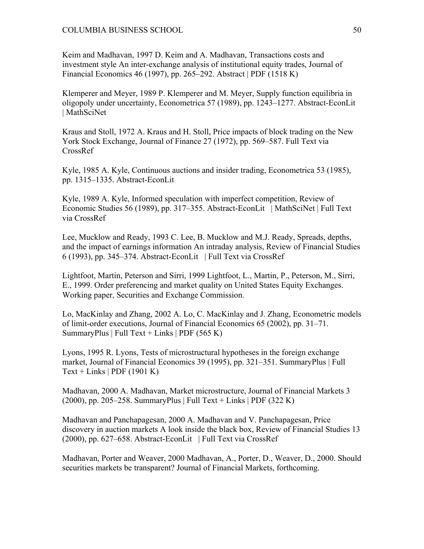Keim and Madhavan, 1997 D. Keim and A. Madhavan, Transactions costs and investment style An inter-exchange analysis of institutional equity trades, Journal of Financial Economics 46 (1997), pp. 265–292. Abstract | PDF (1518 K)

Klemperer and Meyer, 1989 P. Klemperer and M. Meyer, Supply function equilibria in oligopoly under uncertainty, Econometrica 57 (1989), pp. 1243–1277. Abstract-EconLit | MathSciNet

Kraus and Stoll, 1972 A. Kraus and H. Stoll, Price impacts of block trading on the New York Stock Exchange, Journal of Finance 27 (1972), pp. 569–587. Full Text via CrossRef

Kyle, 1985 A. Kyle, Continuous auctions and insider trading, Econometrica 53 (1985), pp. 1315–1335. Abstract-EconLit

Kyle, 1989 A. Kyle, Informed speculation with imperfect competition, Review of Economic Studies 56 (1989), pp. 317–355. Abstract-EconLit | MathSciNet | Full Text via CrossRef

Lee, Mucklow and Ready, 1993 C. Lee, B. Mucklow and M.J. Ready, Spreads, depths, and the impact of earnings information An intraday analysis, Review of Financial Studies 6 (1993), pp. 345–374. Abstract-EconLit | Full Text via CrossRef

Lightfoot, Martin, Peterson and Sirri, 1999 Lightfoot, L., Martin, P., Peterson, M., Sirri, E., 1999. Order preferencing and market quality on United States Equity Exchanges. Working paper, Securities and Exchange Commission.

Lo, MacKinlay and Zhang, 2002 A. Lo, C. MacKinlay and J. Zhang, Econometric models of limit-order executions, Journal of Financial Economics 65 (2002), pp. 31–71. SummaryPlus | Full Text + Links | PDF (565 K)

Lyons, 1995 R. Lyons, Tests of microstructural hypotheses in the foreign exchange market, Journal of Financial Economics 39 (1995), pp. 321–351. SummaryPlus | Full  $Text + Links | PDF (1901 K)$ 

Madhavan, 2000 A. Madhavan, Market microstructure, Journal of Financial Markets 3 (2000), pp. 205–258. SummaryPlus | Full Text + Links | PDF (322 K)

Madhavan and Panchapagesan, 2000 A. Madhavan and V. Panchapagesan, Price discovery in auction markets A look inside the black box, Review of Financial Studies 13 (2000), pp. 627–658. Abstract-EconLit | Full Text via CrossRef

Madhavan, Porter and Weaver, 2000 Madhavan, A., Porter, D., Weaver, D., 2000. Should securities markets be transparent? Journal of Financial Markets, forthcoming.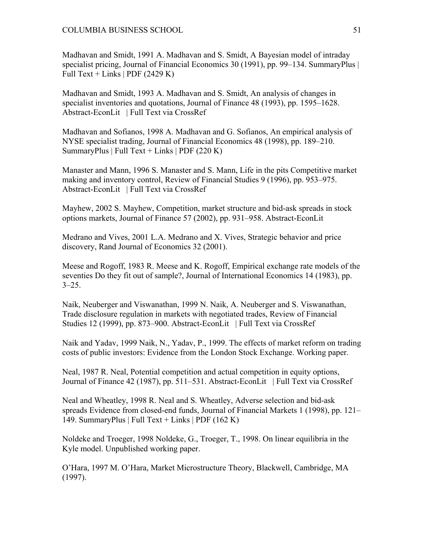Madhavan and Smidt, 1991 A. Madhavan and S. Smidt, A Bayesian model of intraday specialist pricing, Journal of Financial Economics 30 (1991), pp. 99–134. SummaryPlus | Full Text + Links | PDF  $(2429 K)$ 

Madhavan and Smidt, 1993 A. Madhavan and S. Smidt, An analysis of changes in specialist inventories and quotations, Journal of Finance 48 (1993), pp. 1595–1628. Abstract-EconLit | Full Text via CrossRef

Madhavan and Sofianos, 1998 A. Madhavan and G. Sofianos, An empirical analysis of NYSE specialist trading, Journal of Financial Economics 48 (1998), pp. 189–210. SummaryPlus | Full Text + Links | PDF  $(220 K)$ 

Manaster and Mann, 1996 S. Manaster and S. Mann, Life in the pits Competitive market making and inventory control, Review of Financial Studies 9 (1996), pp. 953–975. Abstract-EconLit | Full Text via CrossRef

Mayhew, 2002 S. Mayhew, Competition, market structure and bid-ask spreads in stock options markets, Journal of Finance 57 (2002), pp. 931–958. Abstract-EconLit

Medrano and Vives, 2001 L.A. Medrano and X. Vives, Strategic behavior and price discovery, Rand Journal of Economics 32 (2001).

Meese and Rogoff, 1983 R. Meese and K. Rogoff, Empirical exchange rate models of the seventies Do they fit out of sample?, Journal of International Economics 14 (1983), pp.  $3 - 25$ .

Naik, Neuberger and Viswanathan, 1999 N. Naik, A. Neuberger and S. Viswanathan, Trade disclosure regulation in markets with negotiated trades, Review of Financial Studies 12 (1999), pp. 873–900. Abstract-EconLit | Full Text via CrossRef

Naik and Yadav, 1999 Naik, N., Yadav, P., 1999. The effects of market reform on trading costs of public investors: Evidence from the London Stock Exchange. Working paper.

Neal, 1987 R. Neal, Potential competition and actual competition in equity options, Journal of Finance 42 (1987), pp. 511–531. Abstract-EconLit | Full Text via CrossRef

Neal and Wheatley, 1998 R. Neal and S. Wheatley, Adverse selection and bid-ask spreads Evidence from closed-end funds, Journal of Financial Markets 1 (1998), pp. 121– 149. SummaryPlus | Full Text + Links | PDF (162 K)

Noldeke and Troeger, 1998 Noldeke, G., Troeger, T., 1998. On linear equilibria in the Kyle model. Unpublished working paper.

O'Hara, 1997 M. O'Hara, Market Microstructure Theory, Blackwell, Cambridge, MA (1997).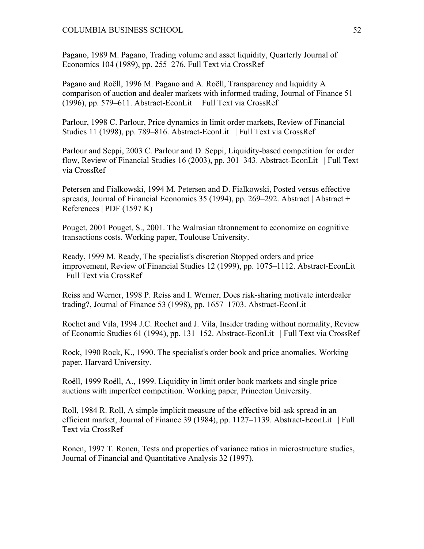Pagano, 1989 M. Pagano, Trading volume and asset liquidity, Quarterly Journal of Economics 104 (1989), pp. 255–276. Full Text via CrossRef

Pagano and Roëll, 1996 M. Pagano and A. Roëll, Transparency and liquidity A comparison of auction and dealer markets with informed trading, Journal of Finance 51 (1996), pp. 579–611. Abstract-EconLit | Full Text via CrossRef

Parlour, 1998 C. Parlour, Price dynamics in limit order markets, Review of Financial Studies 11 (1998), pp. 789–816. Abstract-EconLit | Full Text via CrossRef

Parlour and Seppi, 2003 C. Parlour and D. Seppi, Liquidity-based competition for order flow, Review of Financial Studies 16 (2003), pp. 301–343. Abstract-EconLit | Full Text via CrossRef

Petersen and Fialkowski, 1994 M. Petersen and D. Fialkowski, Posted versus effective spreads, Journal of Financial Economics 35 (1994), pp. 269–292. Abstract | Abstract + References | PDF (1597 K)

Pouget, 2001 Pouget, S., 2001. The Walrasian tâtonnement to economize on cognitive transactions costs. Working paper, Toulouse University.

Ready, 1999 M. Ready, The specialist's discretion Stopped orders and price improvement, Review of Financial Studies 12 (1999), pp. 1075–1112. Abstract-EconLit | Full Text via CrossRef

Reiss and Werner, 1998 P. Reiss and I. Werner, Does risk-sharing motivate interdealer trading?, Journal of Finance 53 (1998), pp. 1657–1703. Abstract-EconLit

Rochet and Vila, 1994 J.C. Rochet and J. Vila, Insider trading without normality, Review of Economic Studies 61 (1994), pp. 131–152. Abstract-EconLit | Full Text via CrossRef

Rock, 1990 Rock, K., 1990. The specialist's order book and price anomalies. Working paper, Harvard University.

Roëll, 1999 Roëll, A., 1999. Liquidity in limit order book markets and single price auctions with imperfect competition. Working paper, Princeton University.

Roll, 1984 R. Roll, A simple implicit measure of the effective bid-ask spread in an efficient market, Journal of Finance 39 (1984), pp. 1127–1139. Abstract-EconLit | Full Text via CrossRef

Ronen, 1997 T. Ronen, Tests and properties of variance ratios in microstructure studies, Journal of Financial and Quantitative Analysis 32 (1997).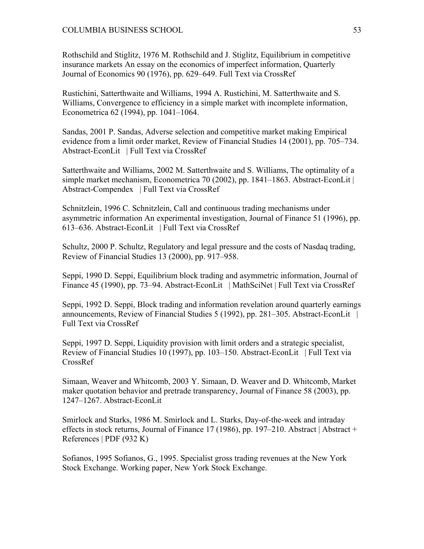Rothschild and Stiglitz, 1976 M. Rothschild and J. Stiglitz, Equilibrium in competitive insurance markets An essay on the economics of imperfect information, Quarterly Journal of Economics 90 (1976), pp. 629–649. Full Text via CrossRef

Rustichini, Satterthwaite and Williams, 1994 A. Rustichini, M. Satterthwaite and S. Williams, Convergence to efficiency in a simple market with incomplete information, Econometrica 62 (1994), pp. 1041–1064.

Sandas, 2001 P. Sandas, Adverse selection and competitive market making Empirical evidence from a limit order market, Review of Financial Studies 14 (2001), pp. 705–734. Abstract-EconLit | Full Text via CrossRef

Satterthwaite and Williams, 2002 M. Satterthwaite and S. Williams, The optimality of a simple market mechanism, Econometrica 70 (2002), pp. 1841–1863. Abstract-EconLit | Abstract-Compendex | Full Text via CrossRef

Schnitzlein, 1996 C. Schnitzlein, Call and continuous trading mechanisms under asymmetric information An experimental investigation, Journal of Finance 51 (1996), pp. 613–636. Abstract-EconLit | Full Text via CrossRef

Schultz, 2000 P. Schultz, Regulatory and legal pressure and the costs of Nasdaq trading, Review of Financial Studies 13 (2000), pp. 917–958.

Seppi, 1990 D. Seppi, Equilibrium block trading and asymmetric information, Journal of Finance 45 (1990), pp. 73–94. Abstract-EconLit | MathSciNet | Full Text via CrossRef

Seppi, 1992 D. Seppi, Block trading and information revelation around quarterly earnings announcements, Review of Financial Studies 5 (1992), pp. 281–305. Abstract-EconLit | Full Text via CrossRef

Seppi, 1997 D. Seppi, Liquidity provision with limit orders and a strategic specialist, Review of Financial Studies 10 (1997), pp. 103–150. Abstract-EconLit | Full Text via CrossRef

Simaan, Weaver and Whitcomb, 2003 Y. Simaan, D. Weaver and D. Whitcomb, Market maker quotation behavior and pretrade transparency, Journal of Finance 58 (2003), pp. 1247–1267. Abstract-EconLit

Smirlock and Starks, 1986 M. Smirlock and L. Starks, Day-of-the-week and intraday effects in stock returns, Journal of Finance 17 (1986), pp. 197–210. Abstract | Abstract + References | PDF (932 K)

Sofianos, 1995 Sofianos, G., 1995. Specialist gross trading revenues at the New York Stock Exchange. Working paper, New York Stock Exchange.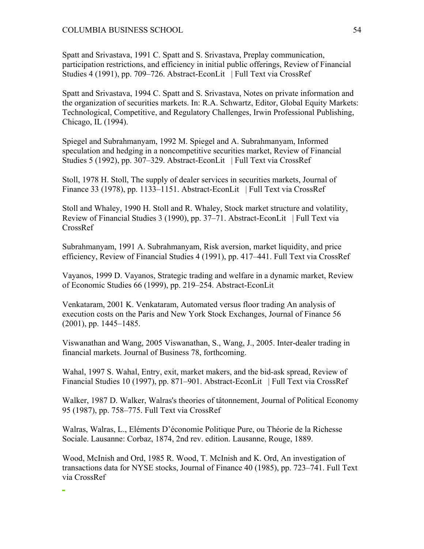Spatt and Srivastava, 1991 C. Spatt and S. Srivastava, Preplay communication, participation restrictions, and efficiency in initial public offerings, Review of Financial Studies 4 (1991), pp. 709–726. Abstract-EconLit | Full Text via CrossRef

Spatt and Srivastava, 1994 C. Spatt and S. Srivastava, Notes on private information and the organization of securities markets. In: R.A. Schwartz, Editor, Global Equity Markets: Technological, Competitive, and Regulatory Challenges, Irwin Professional Publishing, Chicago, IL (1994).

Spiegel and Subrahmanyam, 1992 M. Spiegel and A. Subrahmanyam, Informed speculation and hedging in a noncompetitive securities market, Review of Financial Studies 5 (1992), pp. 307–329. Abstract-EconLit | Full Text via CrossRef

Stoll, 1978 H. Stoll, The supply of dealer services in securities markets, Journal of Finance 33 (1978), pp. 1133–1151. Abstract-EconLit | Full Text via CrossRef

Stoll and Whaley, 1990 H. Stoll and R. Whaley, Stock market structure and volatility, Review of Financial Studies 3 (1990), pp. 37–71. Abstract-EconLit | Full Text via CrossRef

Subrahmanyam, 1991 A. Subrahmanyam, Risk aversion, market liquidity, and price efficiency, Review of Financial Studies 4 (1991), pp. 417–441. Full Text via CrossRef

Vayanos, 1999 D. Vayanos, Strategic trading and welfare in a dynamic market, Review of Economic Studies 66 (1999), pp. 219–254. Abstract-EconLit

Venkataram, 2001 K. Venkataram, Automated versus floor trading An analysis of execution costs on the Paris and New York Stock Exchanges, Journal of Finance 56 (2001), pp. 1445–1485.

Viswanathan and Wang, 2005 Viswanathan, S., Wang, J., 2005. Inter-dealer trading in financial markets. Journal of Business 78, forthcoming.

Wahal, 1997 S. Wahal, Entry, exit, market makers, and the bid-ask spread, Review of Financial Studies 10 (1997), pp. 871–901. Abstract-EconLit | Full Text via CrossRef

Walker, 1987 D. Walker, Walras's theories of tâtonnement, Journal of Political Economy 95 (1987), pp. 758–775. Full Text via CrossRef

Walras, Walras, L., Eléments D'économie Politique Pure, ou Théorie de la Richesse Sociale. Lausanne: Corbaz, 1874, 2nd rev. edition. Lausanne, Rouge, 1889.

Wood, McInish and Ord, 1985 R. Wood, T. McInish and K. Ord, An investigation of transactions data for NYSE stocks, Journal of Finance 40 (1985), pp. 723–741. Full Text via CrossRef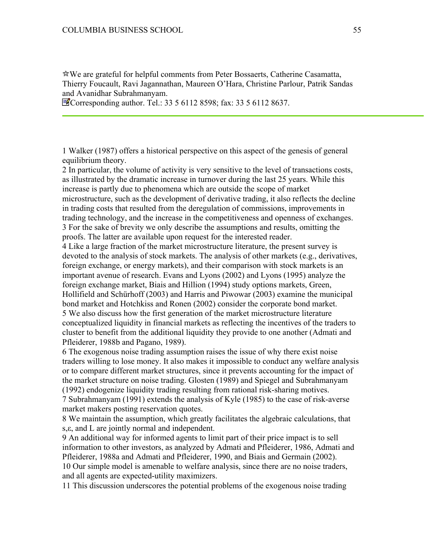We are grateful for helpful comments from Peter Bossaerts, Catherine Casamatta, Thierry Foucault, Ravi Jagannathan, Maureen O'Hara, Christine Parlour, Patrik Sandas and Avanidhar Subrahmanyam.

**Exercise** Corresponding author. Tel.: 33 5 6112 8598; fax: 33 5 6112 8637.

1 Walker (1987) offers a historical perspective on this aspect of the genesis of general equilibrium theory.

2 In particular, the volume of activity is very sensitive to the level of transactions costs, as illustrated by the dramatic increase in turnover during the last 25 years. While this increase is partly due to phenomena which are outside the scope of market microstructure, such as the development of derivative trading, it also reflects the decline in trading costs that resulted from the deregulation of commissions, improvements in trading technology, and the increase in the competitiveness and openness of exchanges. 3 For the sake of brevity we only describe the assumptions and results, omitting the proofs. The latter are available upon request for the interested reader.

4 Like a large fraction of the market microstructure literature, the present survey is devoted to the analysis of stock markets. The analysis of other markets (e.g., derivatives, foreign exchange, or energy markets), and their comparison with stock markets is an important avenue of research. Evans and Lyons (2002) and Lyons (1995) analyze the foreign exchange market, Biais and Hillion (1994) study options markets, Green, Hollifield and Schürhoff (2003) and Harris and Piwowar (2003) examine the municipal bond market and Hotchkiss and Ronen (2002) consider the corporate bond market. 5 We also discuss how the first generation of the market microstructure literature conceptualized liquidity in financial markets as reflecting the incentives of the traders to cluster to benefit from the additional liquidity they provide to one another (Admati and Pfleiderer, 1988b and Pagano, 1989).

6 The exogenous noise trading assumption raises the issue of why there exist noise traders willing to lose money. It also makes it impossible to conduct any welfare analysis or to compare different market structures, since it prevents accounting for the impact of the market structure on noise trading. Glosten (1989) and Spiegel and Subrahmanyam (1992) endogenize liquidity trading resulting from rational risk-sharing motives. 7 Subrahmanyam (1991) extends the analysis of Kyle (1985) to the case of risk-averse

market makers posting reservation quotes.

8 We maintain the assumption, which greatly facilitates the algebraic calculations, that s,ε, and L are jointly normal and independent.

9 An additional way for informed agents to limit part of their price impact is to sell information to other investors, as analyzed by Admati and Pfleiderer, 1986, Admati and Pfleiderer, 1988a and Admati and Pfleiderer, 1990, and Biais and Germain (2002). 10 Our simple model is amenable to welfare analysis, since there are no noise traders, and all agents are expected-utility maximizers.

11 This discussion underscores the potential problems of the exogenous noise trading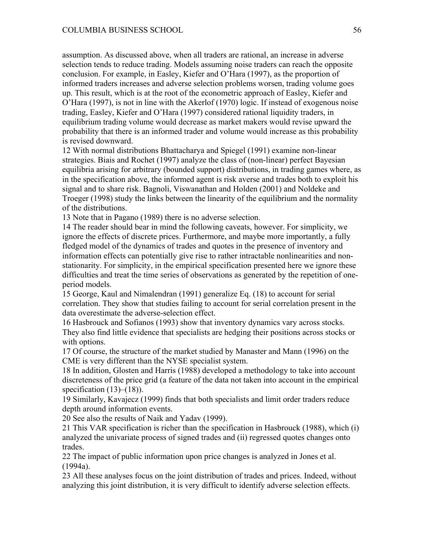assumption. As discussed above, when all traders are rational, an increase in adverse selection tends to reduce trading. Models assuming noise traders can reach the opposite conclusion. For example, in Easley, Kiefer and O'Hara (1997), as the proportion of informed traders increases and adverse selection problems worsen, trading volume goes up. This result, which is at the root of the econometric approach of Easley, Kiefer and O'Hara (1997), is not in line with the Akerlof (1970) logic. If instead of exogenous noise trading, Easley, Kiefer and O'Hara (1997) considered rational liquidity traders, in equilibrium trading volume would decrease as market makers would revise upward the probability that there is an informed trader and volume would increase as this probability is revised downward.

12 With normal distributions Bhattacharya and Spiegel (1991) examine non-linear strategies. Biais and Rochet (1997) analyze the class of (non-linear) perfect Bayesian equilibria arising for arbitrary (bounded support) distributions, in trading games where, as in the specification above, the informed agent is risk averse and trades both to exploit his signal and to share risk. Bagnoli, Viswanathan and Holden (2001) and Noldeke and Troeger (1998) study the links between the linearity of the equilibrium and the normality of the distributions.

13 Note that in Pagano (1989) there is no adverse selection.

14 The reader should bear in mind the following caveats, however. For simplicity, we ignore the effects of discrete prices. Furthermore, and maybe more importantly, a fully fledged model of the dynamics of trades and quotes in the presence of inventory and information effects can potentially give rise to rather intractable nonlinearities and nonstationarity. For simplicity, in the empirical specification presented here we ignore these difficulties and treat the time series of observations as generated by the repetition of oneperiod models.

15 George, Kaul and Nimalendran (1991) generalize Eq. (18) to account for serial correlation. They show that studies failing to account for serial correlation present in the data overestimate the adverse-selection effect.

16 Hasbrouck and Sofianos (1993) show that inventory dynamics vary across stocks. They also find little evidence that specialists are hedging their positions across stocks or with options.

17 Of course, the structure of the market studied by Manaster and Mann (1996) on the CME is very different than the NYSE specialist system.

18 In addition, Glosten and Harris (1988) developed a methodology to take into account discreteness of the price grid (a feature of the data not taken into account in the empirical specification  $(13)$ – $(18)$ ).

19 Similarly, Kavajecz (1999) finds that both specialists and limit order traders reduce depth around information events.

20 See also the results of Naik and Yadav (1999).

21 This VAR specification is richer than the specification in Hasbrouck (1988), which (i) analyzed the univariate process of signed trades and (ii) regressed quotes changes onto trades.

22 The impact of public information upon price changes is analyzed in Jones et al. (1994a).

23 All these analyses focus on the joint distribution of trades and prices. Indeed, without analyzing this joint distribution, it is very difficult to identify adverse selection effects.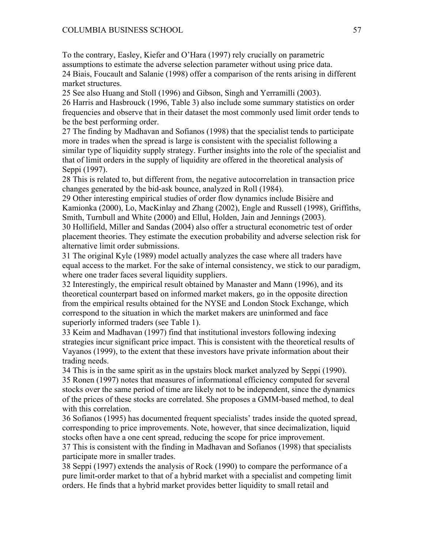To the contrary, Easley, Kiefer and O'Hara (1997) rely crucially on parametric assumptions to estimate the adverse selection parameter without using price data. 24 Biais, Foucault and Salanie (1998) offer a comparison of the rents arising in different market structures.

25 See also Huang and Stoll (1996) and Gibson, Singh and Yerramilli (2003). 26 Harris and Hasbrouck (1996, Table 3) also include some summary statistics on order frequencies and observe that in their dataset the most commonly used limit order tends to be the best performing order.

27 The finding by Madhavan and Sofianos (1998) that the specialist tends to participate more in trades when the spread is large is consistent with the specialist following a similar type of liquidity supply strategy. Further insights into the role of the specialist and that of limit orders in the supply of liquidity are offered in the theoretical analysis of Seppi (1997).

28 This is related to, but different from, the negative autocorrelation in transaction price changes generated by the bid-ask bounce, analyzed in Roll (1984).

29 Other interesting empirical studies of order flow dynamics include Bisière and Kamionka (2000), Lo, MacKinlay and Zhang (2002), Engle and Russell (1998), Griffiths, Smith, Turnbull and White (2000) and Ellul, Holden, Jain and Jennings (2003).

30 Hollifield, Miller and Sandas (2004) also offer a structural econometric test of order placement theories. They estimate the execution probability and adverse selection risk for alternative limit order submissions.

31 The original Kyle (1989) model actually analyzes the case where all traders have equal access to the market. For the sake of internal consistency, we stick to our paradigm, where one trader faces several liquidity suppliers.

32 Interestingly, the empirical result obtained by Manaster and Mann (1996), and its theoretical counterpart based on informed market makers, go in the opposite direction from the empirical results obtained for the NYSE and London Stock Exchange, which correspond to the situation in which the market makers are uninformed and face superiorly informed traders (see Table 1).

33 Keim and Madhavan (1997) find that institutional investors following indexing strategies incur significant price impact. This is consistent with the theoretical results of Vayanos (1999), to the extent that these investors have private information about their trading needs.

34 This is in the same spirit as in the upstairs block market analyzed by Seppi (1990). 35 Ronen (1997) notes that measures of informational efficiency computed for several stocks over the same period of time are likely not to be independent, since the dynamics of the prices of these stocks are correlated. She proposes a GMM-based method, to deal with this correlation.

36 Sofianos (1995) has documented frequent specialists' trades inside the quoted spread, corresponding to price improvements. Note, however, that since decimalization, liquid stocks often have a one cent spread, reducing the scope for price improvement.

37 This is consistent with the finding in Madhavan and Sofianos (1998) that specialists participate more in smaller trades.

38 Seppi (1997) extends the analysis of Rock (1990) to compare the performance of a pure limit-order market to that of a hybrid market with a specialist and competing limit orders. He finds that a hybrid market provides better liquidity to small retail and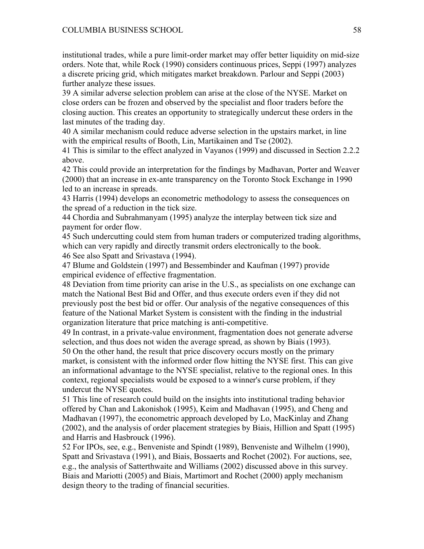institutional trades, while a pure limit-order market may offer better liquidity on mid-size orders. Note that, while Rock (1990) considers continuous prices, Seppi (1997) analyzes a discrete pricing grid, which mitigates market breakdown. Parlour and Seppi (2003) further analyze these issues.

39 A similar adverse selection problem can arise at the close of the NYSE. Market on close orders can be frozen and observed by the specialist and floor traders before the closing auction. This creates an opportunity to strategically undercut these orders in the last minutes of the trading day.

40 A similar mechanism could reduce adverse selection in the upstairs market, in line with the empirical results of Booth, Lin, Martikainen and Tse (2002).

41 This is similar to the effect analyzed in Vayanos (1999) and discussed in Section 2.2.2 above.

42 This could provide an interpretation for the findings by Madhavan, Porter and Weaver (2000) that an increase in ex-ante transparency on the Toronto Stock Exchange in 1990 led to an increase in spreads.

43 Harris (1994) develops an econometric methodology to assess the consequences on the spread of a reduction in the tick size.

44 Chordia and Subrahmanyam (1995) analyze the interplay between tick size and payment for order flow.

45 Such undercutting could stem from human traders or computerized trading algorithms, which can very rapidly and directly transmit orders electronically to the book. 46 See also Spatt and Srivastava (1994).

47 Blume and Goldstein (1997) and Bessembinder and Kaufman (1997) provide empirical evidence of effective fragmentation.

48 Deviation from time priority can arise in the U.S., as specialists on one exchange can match the National Best Bid and Offer, and thus execute orders even if they did not previously post the best bid or offer. Our analysis of the negative consequences of this feature of the National Market System is consistent with the finding in the industrial organization literature that price matching is anti-competitive.

49 In contrast, in a private-value environment, fragmentation does not generate adverse selection, and thus does not widen the average spread, as shown by Biais (1993). 50 On the other hand, the result that price discovery occurs mostly on the primary market, is consistent with the informed order flow hitting the NYSE first. This can give an informational advantage to the NYSE specialist, relative to the regional ones. In this context, regional specialists would be exposed to a winner's curse problem, if they undercut the NYSE quotes.

51 This line of research could build on the insights into institutional trading behavior offered by Chan and Lakonishok (1995), Keim and Madhavan (1995), and Cheng and Madhavan (1997), the econometric approach developed by Lo, MacKinlay and Zhang (2002), and the analysis of order placement strategies by Biais, Hillion and Spatt (1995) and Harris and Hasbrouck (1996).

52 For IPOs, see, e.g., Benveniste and Spindt (1989), Benveniste and Wilhelm (1990), Spatt and Srivastava (1991), and Biais, Bossaerts and Rochet (2002). For auctions, see, e.g., the analysis of Satterthwaite and Williams (2002) discussed above in this survey. Biais and Mariotti (2005) and Biais, Martimort and Rochet (2000) apply mechanism design theory to the trading of financial securities.